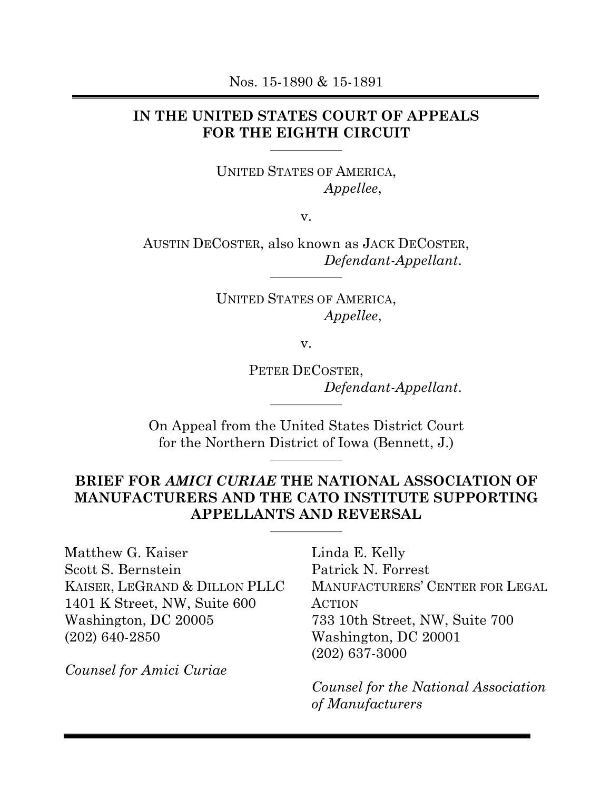### **IN THE UNITED STATES COURT OF APPEALS FOR THE EIGHTH CIRCUIT**

**\_\_\_\_\_\_\_\_\_\_\_\_\_\_\_\_**

UNITED STATES OF AMERICA, *Appellee*,

v.

AUSTIN DECOSTER, also known as JACK DECOSTER, *Defendant-Appellant*.

**\_\_\_\_\_\_\_\_\_\_\_\_\_\_\_\_**

UNITED STATES OF AMERICA, *Appellee*,

v.

PETER DECOSTER, *Defendant-Appellant*. **\_\_\_\_\_\_\_\_\_\_\_\_\_\_\_\_**

On Appeal from the United States District Court for the Northern District of Iowa (Bennett, J.)

**\_\_\_\_\_\_\_\_\_\_\_\_\_\_\_\_**

# **BRIEF FOR** *AMICI CURIAE* **THE NATIONAL ASSOCIATION OF MANUFACTURERS AND THE CATO INSTITUTE SUPPORTING APPELLANTS AND REVERSAL**

**\_\_\_\_\_\_\_\_\_\_\_\_\_\_\_\_**

Matthew G. Kaiser Scott S. Bernstein KAISER, LEGRAND & DILLON PLLC 1401 K Street, NW, Suite 600 Washington, DC 20005 (202) 640-2850

*Counsel for Amici Curiae*

Linda E. Kelly Patrick N. Forrest MANUFACTURERS' CENTER FOR LEGAL ACTION 733 10th Street, NW, Suite 700 Washington, DC 20001 (202) 637-3000

*Counsel for the National Association of Manufacturers*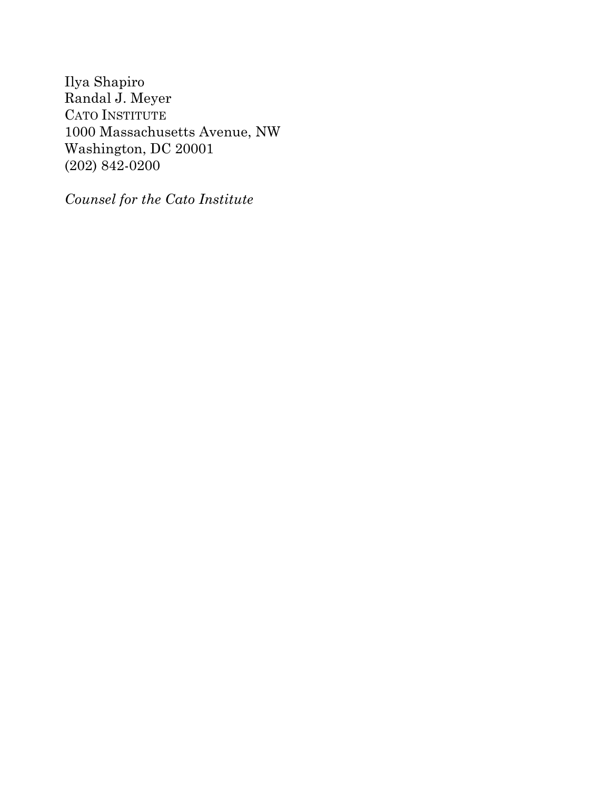Ilya Shapiro Randal J. Meyer CATO INSTITUTE 1000 Massachusetts Avenue, NW Washington, DC 20001 (202) 842-0200

*Counsel for the Cato Institute*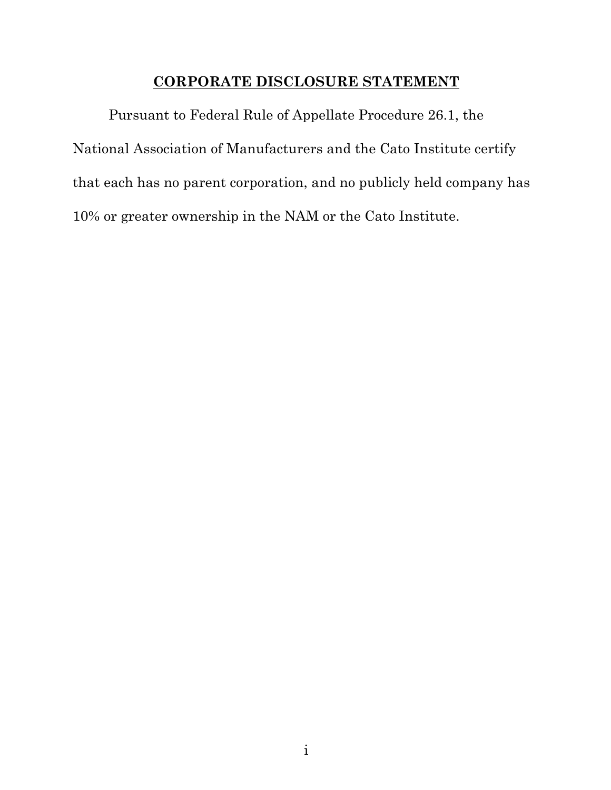#### **CORPORATE DISCLOSURE STATEMENT**

Pursuant to Federal Rule of Appellate Procedure 26.1, the National Association of Manufacturers and the Cato Institute certify that each has no parent corporation, and no publicly held company has 10% or greater ownership in the NAM or the Cato Institute.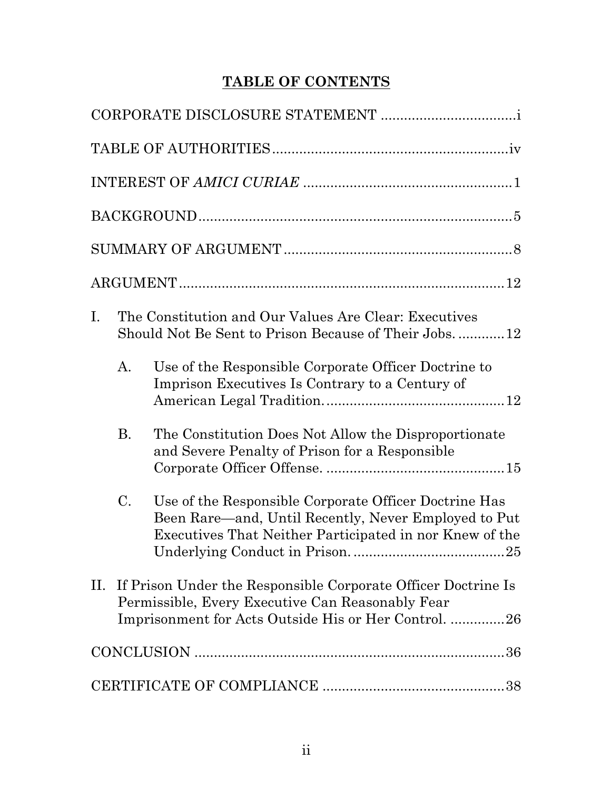# **TABLE OF CONTENTS**

| The Constitution and Our Values Are Clear: Executives<br>$\mathbf{I}$ .<br>Should Not Be Sent to Prison Because of Their Jobs12                                                      |
|--------------------------------------------------------------------------------------------------------------------------------------------------------------------------------------|
| Use of the Responsible Corporate Officer Doctrine to<br>А.<br>Imprison Executives Is Contrary to a Century of                                                                        |
| <b>B.</b><br>The Constitution Does Not Allow the Disproportionate<br>and Severe Penalty of Prison for a Responsible                                                                  |
| C.<br>Use of the Responsible Corporate Officer Doctrine Has<br>Been Rare—and, Until Recently, Never Employed to Put<br>Executives That Neither Participated in nor Knew of the<br>25 |
| II. If Prison Under the Responsible Corporate Officer Doctrine Is<br>Permissible, Every Executive Can Reasonably Fear<br>Imprisonment for Acts Outside His or Her Control. 26        |
|                                                                                                                                                                                      |
|                                                                                                                                                                                      |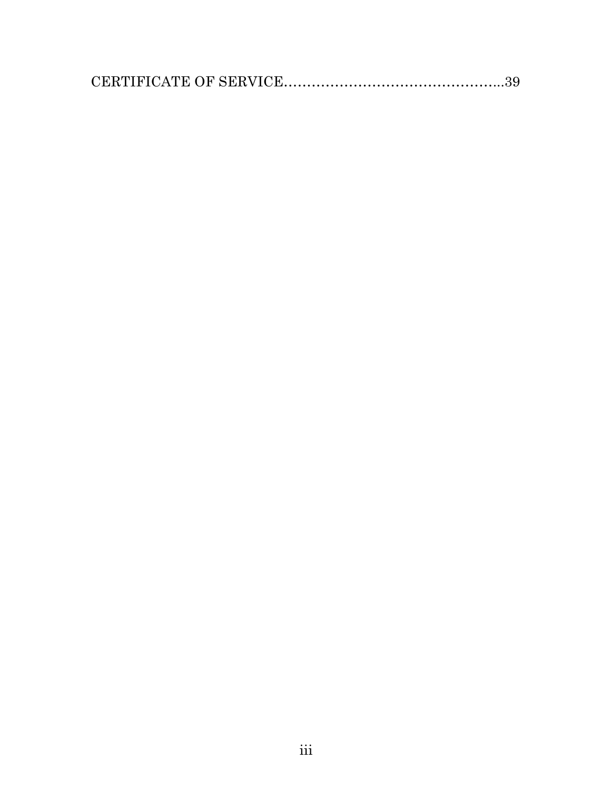|--|--|--|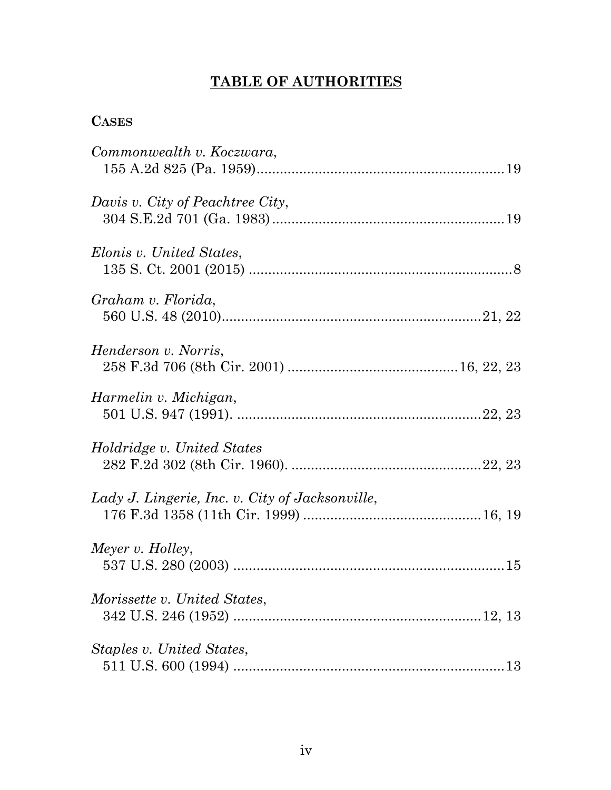# **TABLE OF AUTHORITIES**

# **CASES**

| Commonwealth v. Koczwara,                       |
|-------------------------------------------------|
| Davis v. City of Peachtree City,                |
| Elonis v. United States,                        |
| Graham v. Florida,                              |
| Henderson v. Norris,                            |
| Harmelin v. Michigan,                           |
| <i>Holdridge v. United States</i>               |
| Lady J. Lingerie, Inc. v. City of Jacksonville, |
| Meyer v. Holley,                                |
| Morissette v. United States,                    |
| Staples v. United States,                       |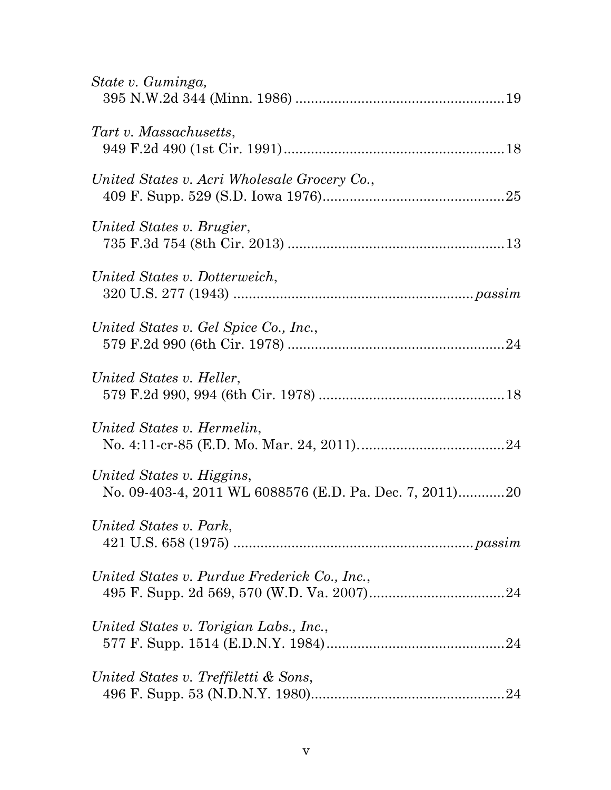| State v. Guminga,                                                                    |
|--------------------------------------------------------------------------------------|
| Tart v. Massachusetts,                                                               |
| United States v. Acri Wholesale Grocery Co.,                                         |
| United States v. Brugier,                                                            |
| United States v. Dotterweich,                                                        |
| United States v. Gel Spice Co., Inc.,                                                |
| United States v. Heller,                                                             |
| United States v. Hermelin,                                                           |
| United States v. Higgins,<br>No. 09-403-4, 2011 WL 6088576 (E.D. Pa. Dec. 7, 2011)20 |
| United States v. Park,                                                               |
| United States v. Purdue Frederick Co., Inc.,                                         |
| United States v. Torigian Labs., Inc.,                                               |
| United States v. Treffiletti & Sons,                                                 |
|                                                                                      |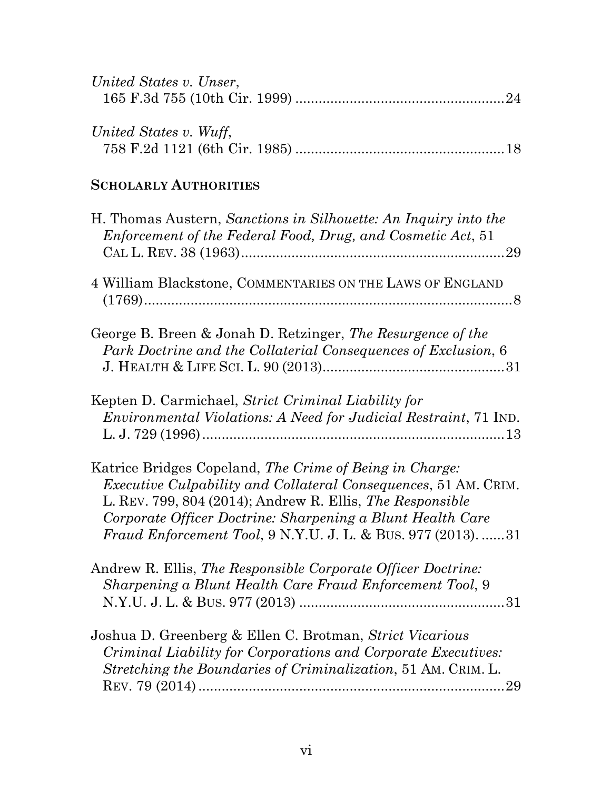| United States v. Unser, |  |
|-------------------------|--|
|                         |  |
|                         |  |
| United States v. Wuff,  |  |
|                         |  |

# **SCHOLARLY AUTHORITIES**

| H. Thomas Austern, Sanctions in Silhouette: An Inquiry into the<br>Enforcement of the Federal Food, Drug, and Cosmetic Act, 51                                                                                                                                                                                               |
|------------------------------------------------------------------------------------------------------------------------------------------------------------------------------------------------------------------------------------------------------------------------------------------------------------------------------|
| 4 William Blackstone, COMMENTARIES ON THE LAWS OF ENGLAND                                                                                                                                                                                                                                                                    |
| George B. Breen & Jonah D. Retzinger, The Resurgence of the<br>Park Doctrine and the Collaterial Consequences of Exclusion, 6                                                                                                                                                                                                |
| Kepten D. Carmichael, Strict Criminal Liability for<br><i>Environmental Violations: A Need for Judicial Restraint, 71 IND.</i>                                                                                                                                                                                               |
| Katrice Bridges Copeland, The Crime of Being in Charge:<br><i>Executive Culpability and Collateral Consequences, 51 AM. CRIM.</i><br>L. REV. 799, 804 (2014); Andrew R. Ellis, The Responsible<br>Corporate Officer Doctrine: Sharpening a Blunt Health Care<br>Fraud Enforcement Tool, 9 N.Y.U. J. L. & BUS. 977 (2013). 31 |
| Andrew R. Ellis, The Responsible Corporate Officer Doctrine:<br>Sharpening a Blunt Health Care Fraud Enforcement Tool, 9                                                                                                                                                                                                     |
| Joshua D. Greenberg & Ellen C. Brotman, Strict Vicarious<br>Criminal Liability for Corporations and Corporate Executives:<br>Stretching the Boundaries of Criminalization, 51 AM. CRIM. L.                                                                                                                                   |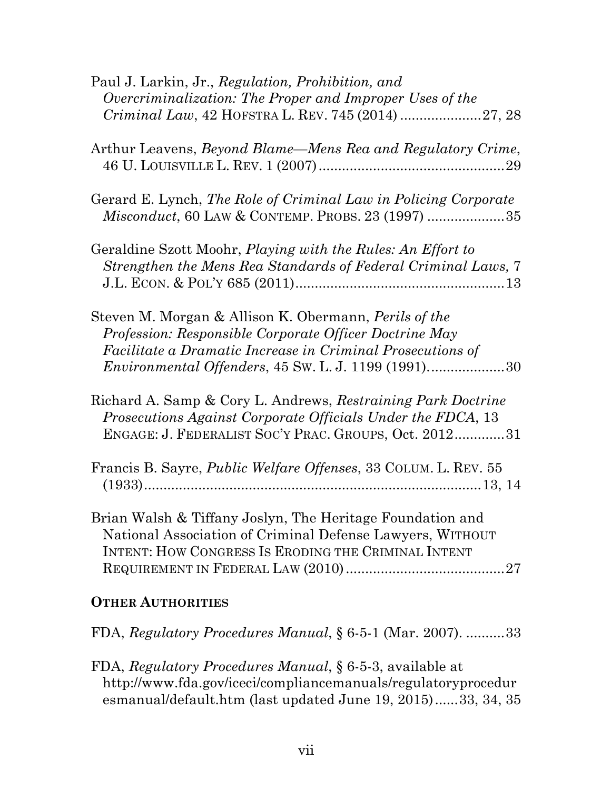| Paul J. Larkin, Jr., Regulation, Prohibition, and<br>Overcriminalization: The Proper and Improper Uses of the                                                                                                                                       |
|-----------------------------------------------------------------------------------------------------------------------------------------------------------------------------------------------------------------------------------------------------|
| Arthur Leavens, <i>Beyond Blame—Mens Rea and Regulatory Crime</i> ,<br>29                                                                                                                                                                           |
| Gerard E. Lynch, The Role of Criminal Law in Policing Corporate<br>Misconduct, 60 LAW & CONTEMP. PROBS. 23 (1997) 35                                                                                                                                |
| Geraldine Szott Moohr, Playing with the Rules: An Effort to<br>Strengthen the Mens Rea Standards of Federal Criminal Laws, 7                                                                                                                        |
| Steven M. Morgan & Allison K. Obermann, <i>Perils of the</i><br>Profession: Responsible Corporate Officer Doctrine May<br>Facilitate a Dramatic Increase in Criminal Prosecutions of<br><i>Environmental Offenders, 45 Sw. L. J. 1199 (1991)</i> 30 |
| Richard A. Samp & Cory L. Andrews, Restraining Park Doctrine<br>Prosecutions Against Corporate Officials Under the FDCA, 13<br>ENGAGE: J. FEDERALIST SOC'Y PRAC. GROUPS, Oct. 201231                                                                |
| Francis B. Sayre, <i>Public Welfare Offenses</i> , 33 COLUM. L. REV. 55                                                                                                                                                                             |
| Brian Walsh & Tiffany Joslyn, The Heritage Foundation and<br>National Association of Criminal Defense Lawyers, WITHOUT<br>INTENT: HOW CONGRESS IS ERODING THE CRIMINAL INTENT                                                                       |
| <b>OTHER AUTHORITIES</b>                                                                                                                                                                                                                            |

FDA, *Regulatory Procedures Manual*, § 6-5-1 (Mar. 2007). ..........33

FDA, *Regulatory Procedures Manual*, § 6-5-3, available at http://www.fda.gov/iceci/compliancemanuals/regulatoryprocedur esmanual/default.htm (last updated June 19, 2015)......33, 34, 35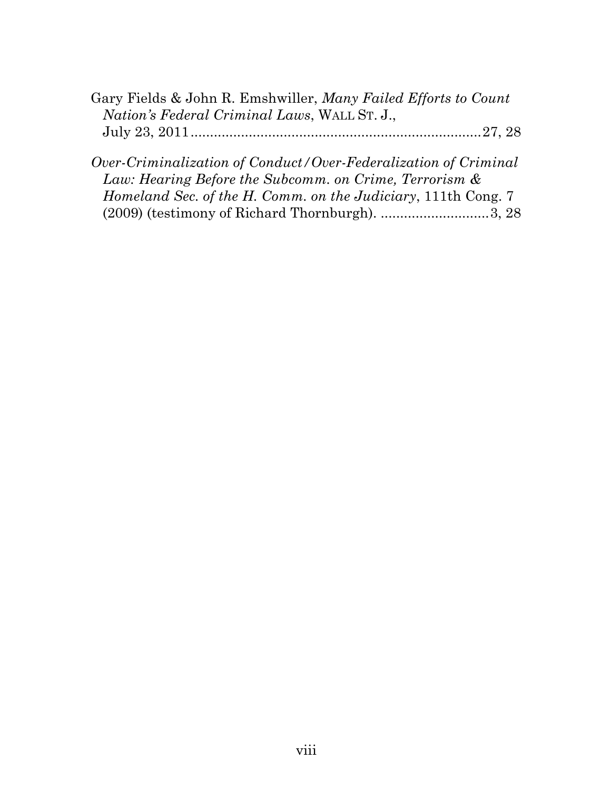| Gary Fields & John R. Emshwiller, Many Failed Efforts to Count |  |
|----------------------------------------------------------------|--|
| <i>Nation's Federal Criminal Laws, WALL ST. J.,</i>            |  |
|                                                                |  |
|                                                                |  |

| Over-Criminalization of Conduct/Over-Federalization of Criminal      |  |
|----------------------------------------------------------------------|--|
| Law: Hearing Before the Subcomm. on Crime, Terrorism &               |  |
| <i>Homeland Sec. of the H. Comm. on the Judiciary, 111th Cong. 7</i> |  |
| $(2009)$ (testimony of Richard Thornburgh). 3, 28                    |  |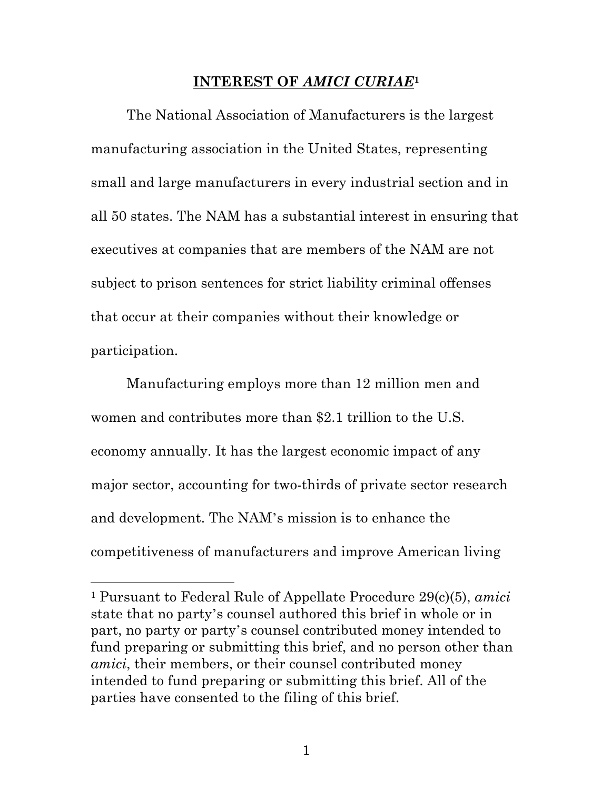#### **INTEREST OF** *AMICI CURIAE***<sup>1</sup>**

The National Association of Manufacturers is the largest manufacturing association in the United States, representing small and large manufacturers in every industrial section and in all 50 states. The NAM has a substantial interest in ensuring that executives at companies that are members of the NAM are not subject to prison sentences for strict liability criminal offenses that occur at their companies without their knowledge or participation.

Manufacturing employs more than 12 million men and women and contributes more than \$2.1 trillion to the U.S. economy annually. It has the largest economic impact of any major sector, accounting for two-thirds of private sector research and development. The NAM's mission is to enhance the competitiveness of manufacturers and improve American living

<u>.</u>

<sup>1</sup> Pursuant to Federal Rule of Appellate Procedure 29(c)(5), *amici* state that no party's counsel authored this brief in whole or in part, no party or party's counsel contributed money intended to fund preparing or submitting this brief, and no person other than *amici*, their members, or their counsel contributed money intended to fund preparing or submitting this brief. All of the parties have consented to the filing of this brief.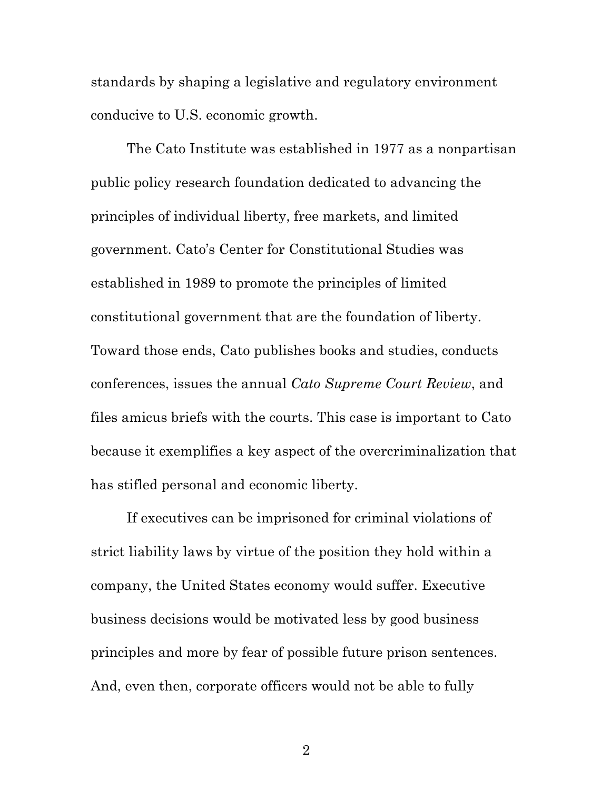standards by shaping a legislative and regulatory environment conducive to U.S. economic growth.

The Cato Institute was established in 1977 as a nonpartisan public policy research foundation dedicated to advancing the principles of individual liberty, free markets, and limited government. Cato's Center for Constitutional Studies was established in 1989 to promote the principles of limited constitutional government that are the foundation of liberty. Toward those ends, Cato publishes books and studies, conducts conferences, issues the annual *Cato Supreme Court Review*, and files amicus briefs with the courts. This case is important to Cato because it exemplifies a key aspect of the overcriminalization that has stifled personal and economic liberty.

If executives can be imprisoned for criminal violations of strict liability laws by virtue of the position they hold within a company, the United States economy would suffer. Executive business decisions would be motivated less by good business principles and more by fear of possible future prison sentences. And, even then, corporate officers would not be able to fully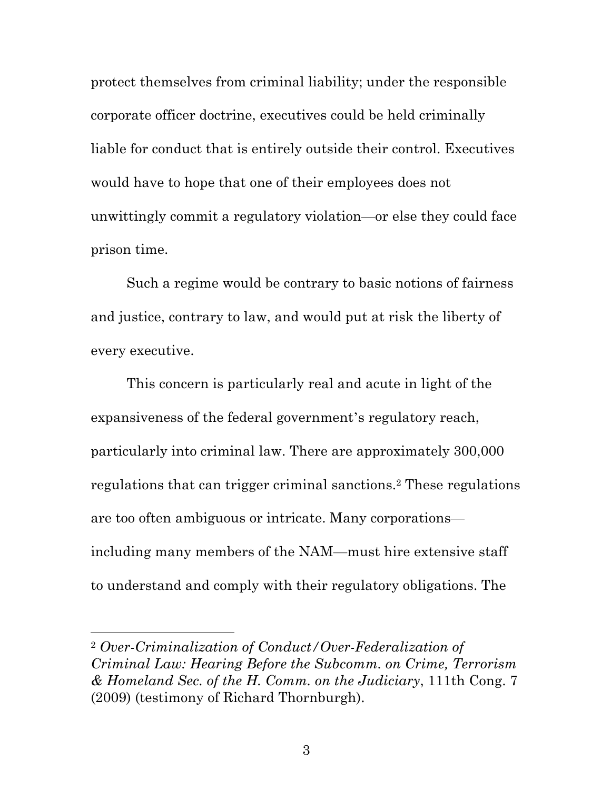protect themselves from criminal liability; under the responsible corporate officer doctrine, executives could be held criminally liable for conduct that is entirely outside their control. Executives would have to hope that one of their employees does not unwittingly commit a regulatory violation—or else they could face prison time.

Such a regime would be contrary to basic notions of fairness and justice, contrary to law, and would put at risk the liberty of every executive.

This concern is particularly real and acute in light of the expansiveness of the federal government's regulatory reach, particularly into criminal law. There are approximately 300,000 regulations that can trigger criminal sanctions.2 These regulations are too often ambiguous or intricate. Many corporations including many members of the NAM—must hire extensive staff to understand and comply with their regulatory obligations. The

<u>.</u>

<sup>2</sup> *Over-Criminalization of Conduct/Over-Federalization of Criminal Law: Hearing Before the Subcomm. on Crime, Terrorism & Homeland Sec. of the H. Comm. on the Judiciary*, 111th Cong. 7 (2009) (testimony of Richard Thornburgh).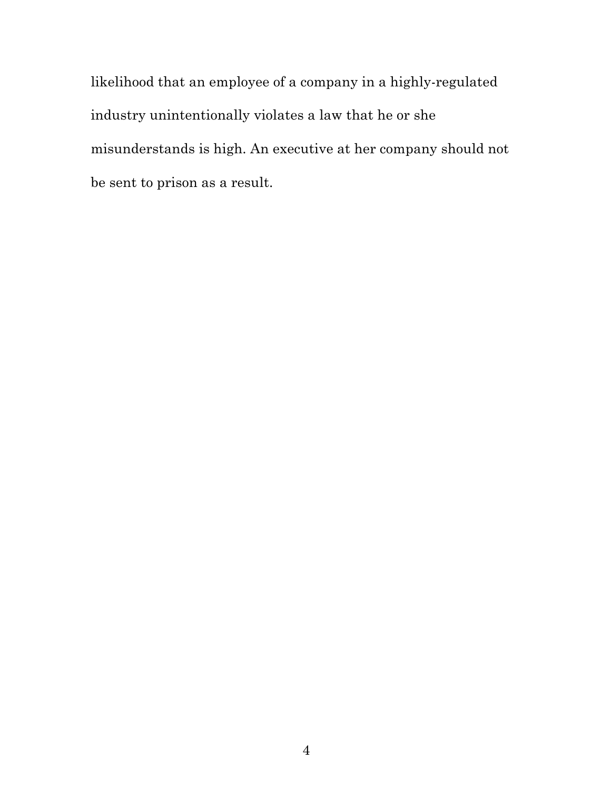likelihood that an employee of a company in a highly-regulated industry unintentionally violates a law that he or she misunderstands is high. An executive at her company should not be sent to prison as a result.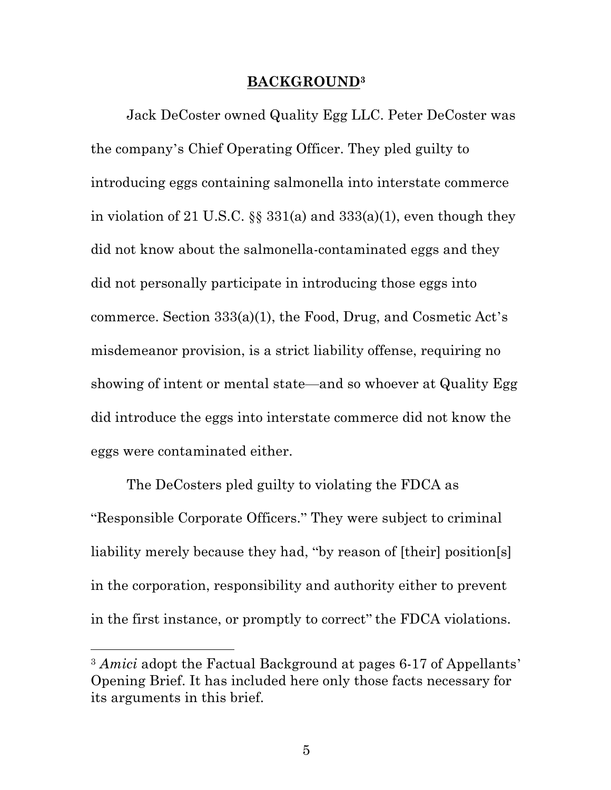#### **BACKGROUND3**

Jack DeCoster owned Quality Egg LLC. Peter DeCoster was the company's Chief Operating Officer. They pled guilty to introducing eggs containing salmonella into interstate commerce in violation of 21 U.S.C.  $\S$  331(a) and 333(a)(1), even though they did not know about the salmonella-contaminated eggs and they did not personally participate in introducing those eggs into commerce. Section 333(a)(1), the Food, Drug, and Cosmetic Act's misdemeanor provision, is a strict liability offense, requiring no showing of intent or mental state—and so whoever at Quality Egg did introduce the eggs into interstate commerce did not know the eggs were contaminated either.

The DeCosters pled guilty to violating the FDCA as "Responsible Corporate Officers." They were subject to criminal liability merely because they had, "by reason of [their] position[s] in the corporation, responsibility and authority either to prevent in the first instance, or promptly to correct" the FDCA violations.

<u>.</u>

<sup>3</sup> *Amici* adopt the Factual Background at pages 6-17 of Appellants' Opening Brief. It has included here only those facts necessary for its arguments in this brief.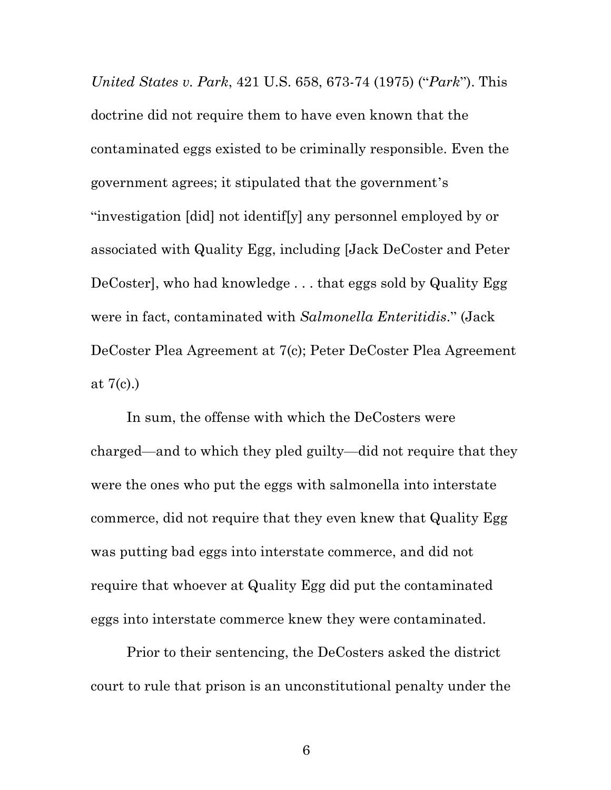*United States v. Park*, 421 U.S. 658, 673-74 (1975) ("*Park*"). This doctrine did not require them to have even known that the contaminated eggs existed to be criminally responsible. Even the government agrees; it stipulated that the government's "investigation [did] not identif[y] any personnel employed by or associated with Quality Egg, including [Jack DeCoster and Peter DeCoster], who had knowledge . . . that eggs sold by Quality Egg were in fact, contaminated with *Salmonella Enteritidis*." (Jack DeCoster Plea Agreement at 7(c); Peter DeCoster Plea Agreement at  $7(c)$ .)

In sum, the offense with which the DeCosters were charged—and to which they pled guilty—did not require that they were the ones who put the eggs with salmonella into interstate commerce, did not require that they even knew that Quality Egg was putting bad eggs into interstate commerce, and did not require that whoever at Quality Egg did put the contaminated eggs into interstate commerce knew they were contaminated.

Prior to their sentencing, the DeCosters asked the district court to rule that prison is an unconstitutional penalty under the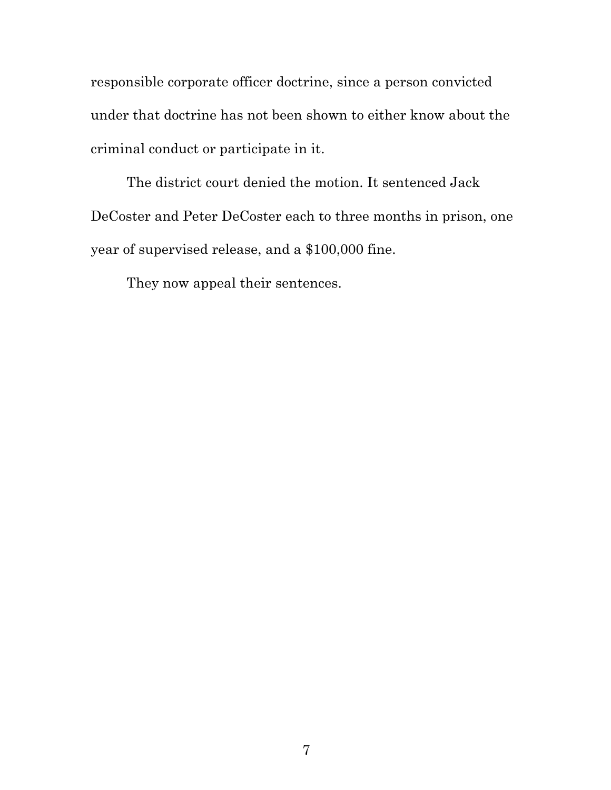responsible corporate officer doctrine, since a person convicted under that doctrine has not been shown to either know about the criminal conduct or participate in it.

The district court denied the motion. It sentenced Jack DeCoster and Peter DeCoster each to three months in prison, one year of supervised release, and a \$100,000 fine.

They now appeal their sentences.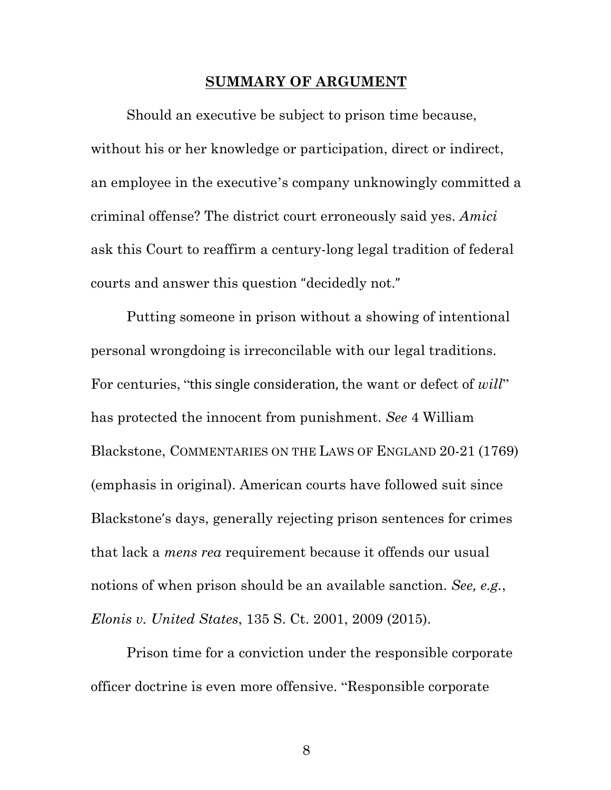#### **SUMMARY OF ARGUMENT**

Should an executive be subject to prison time because, without his or her knowledge or participation, direct or indirect, an employee in the executive's company unknowingly committed a criminal offense? The district court erroneously said yes. *Amici* ask this Court to reaffirm a century-long legal tradition of federal courts and answer this question "decidedly not."

Putting someone in prison without a showing of intentional personal wrongdoing is irreconcilable with our legal traditions. For centuries, "this single consideration, the want or defect of *will*" has protected the innocent from punishment. *See* 4 William Blackstone, COMMENTARIES ON THE LAWS OF ENGLAND 20-21 (1769) (emphasis in original). American courts have followed suit since Blackstone's days, generally rejecting prison sentences for crimes that lack a *mens rea* requirement because it offends our usual notions of when prison should be an available sanction. *See, e.g.*, *Elonis v. United States*, 135 S. Ct. 2001, 2009 (2015).

Prison time for a conviction under the responsible corporate officer doctrine is even more offensive. "Responsible corporate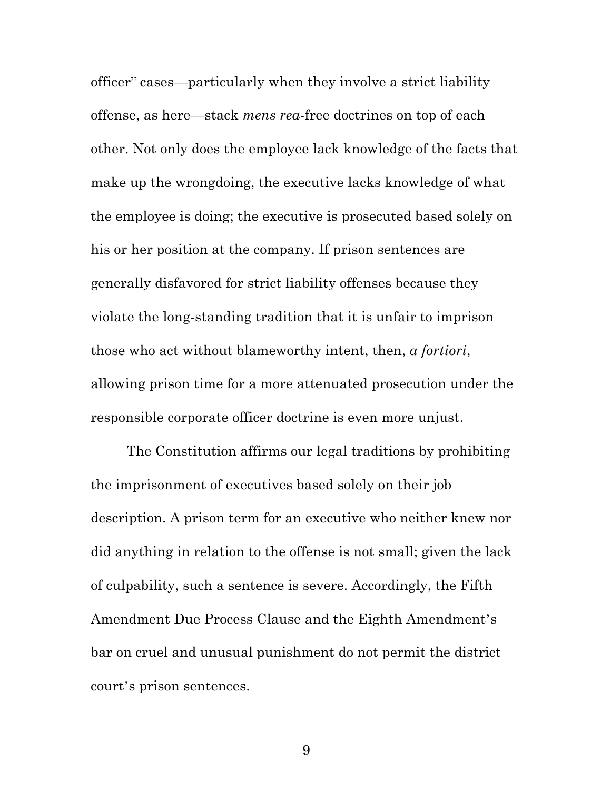officer" cases—particularly when they involve a strict liability offense, as here—stack *mens rea*-free doctrines on top of each other. Not only does the employee lack knowledge of the facts that make up the wrongdoing, the executive lacks knowledge of what the employee is doing; the executive is prosecuted based solely on his or her position at the company. If prison sentences are generally disfavored for strict liability offenses because they violate the long-standing tradition that it is unfair to imprison those who act without blameworthy intent, then, *a fortiori*, allowing prison time for a more attenuated prosecution under the responsible corporate officer doctrine is even more unjust.

The Constitution affirms our legal traditions by prohibiting the imprisonment of executives based solely on their job description. A prison term for an executive who neither knew nor did anything in relation to the offense is not small; given the lack of culpability, such a sentence is severe. Accordingly, the Fifth Amendment Due Process Clause and the Eighth Amendment's bar on cruel and unusual punishment do not permit the district court's prison sentences.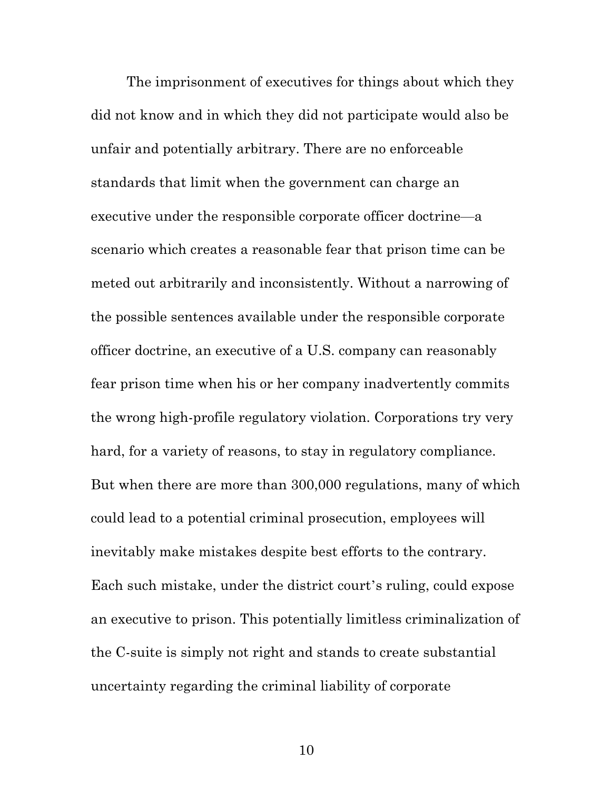The imprisonment of executives for things about which they did not know and in which they did not participate would also be unfair and potentially arbitrary. There are no enforceable standards that limit when the government can charge an executive under the responsible corporate officer doctrine—a scenario which creates a reasonable fear that prison time can be meted out arbitrarily and inconsistently. Without a narrowing of the possible sentences available under the responsible corporate officer doctrine, an executive of a U.S. company can reasonably fear prison time when his or her company inadvertently commits the wrong high-profile regulatory violation. Corporations try very hard, for a variety of reasons, to stay in regulatory compliance. But when there are more than 300,000 regulations, many of which could lead to a potential criminal prosecution, employees will inevitably make mistakes despite best efforts to the contrary. Each such mistake, under the district court's ruling, could expose an executive to prison. This potentially limitless criminalization of the C-suite is simply not right and stands to create substantial uncertainty regarding the criminal liability of corporate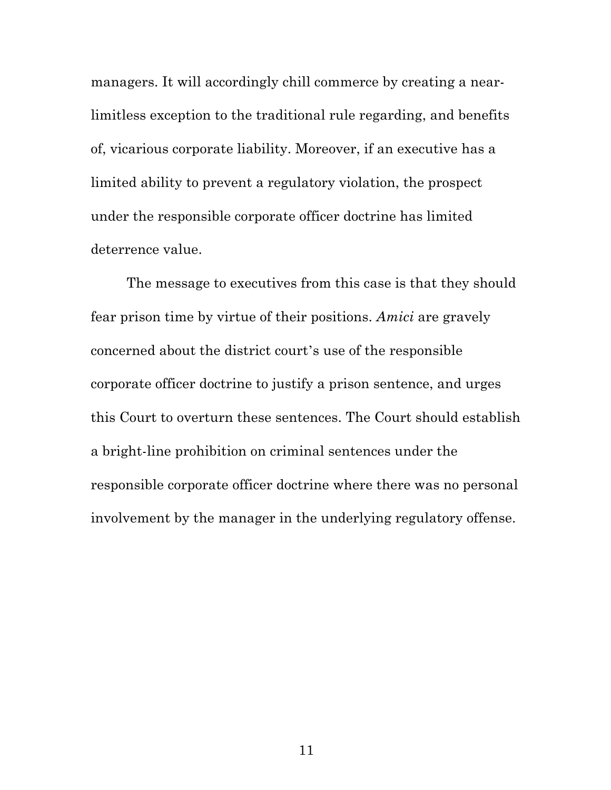managers. It will accordingly chill commerce by creating a nearlimitless exception to the traditional rule regarding, and benefits of, vicarious corporate liability. Moreover, if an executive has a limited ability to prevent a regulatory violation, the prospect under the responsible corporate officer doctrine has limited deterrence value.

The message to executives from this case is that they should fear prison time by virtue of their positions. *Amici* are gravely concerned about the district court's use of the responsible corporate officer doctrine to justify a prison sentence, and urges this Court to overturn these sentences. The Court should establish a bright-line prohibition on criminal sentences under the responsible corporate officer doctrine where there was no personal involvement by the manager in the underlying regulatory offense.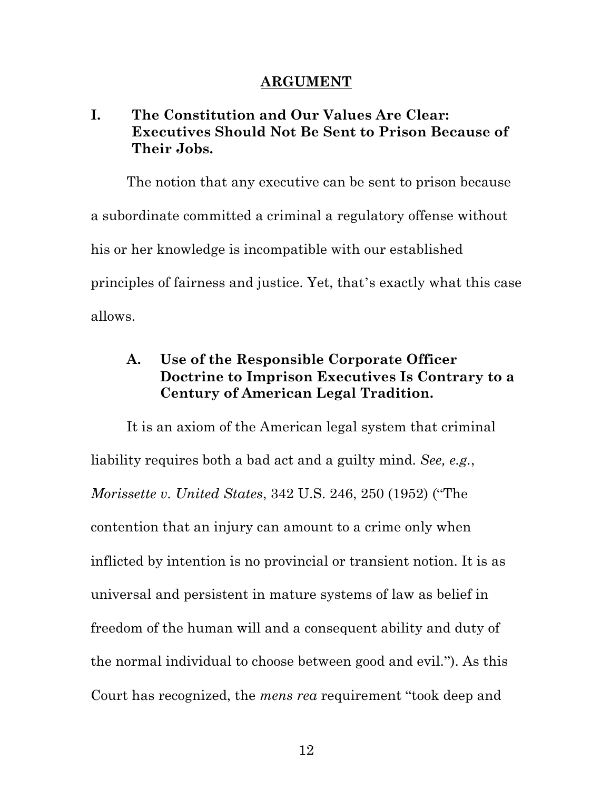#### **ARGUMENT**

# **I. The Constitution and Our Values Are Clear: Executives Should Not Be Sent to Prison Because of Their Jobs.**

The notion that any executive can be sent to prison because a subordinate committed a criminal a regulatory offense without his or her knowledge is incompatible with our established principles of fairness and justice. Yet, that's exactly what this case allows.

# **A. Use of the Responsible Corporate Officer Doctrine to Imprison Executives Is Contrary to a Century of American Legal Tradition.**

It is an axiom of the American legal system that criminal liability requires both a bad act and a guilty mind. *See, e.g.*, *Morissette v. United States*, 342 U.S. 246, 250 (1952) ("The contention that an injury can amount to a crime only when inflicted by intention is no provincial or transient notion. It is as universal and persistent in mature systems of law as belief in freedom of the human will and a consequent ability and duty of the normal individual to choose between good and evil."). As this Court has recognized, the *mens rea* requirement "took deep and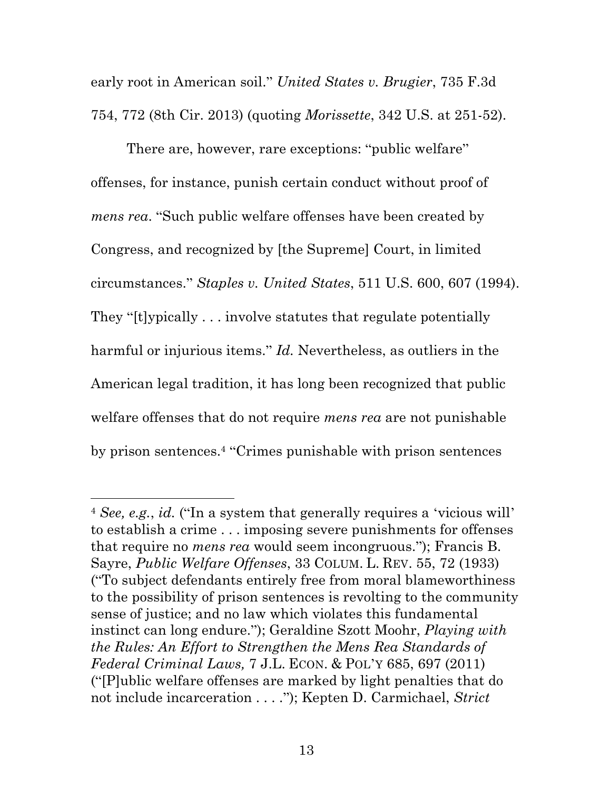early root in American soil." *United States v. Brugier*, 735 F.3d 754, 772 (8th Cir. 2013) (quoting *Morissette*, 342 U.S. at 251-52).

There are, however, rare exceptions: "public welfare" offenses, for instance, punish certain conduct without proof of *mens rea*. "Such public welfare offenses have been created by Congress, and recognized by [the Supreme] Court, in limited circumstances." *Staples v. United States*, 511 U.S. 600, 607 (1994). They "[t]ypically . . . involve statutes that regulate potentially harmful or injurious items." *Id.* Nevertheless, as outliers in the American legal tradition, it has long been recognized that public welfare offenses that do not require *mens rea* are not punishable by prison sentences.4 "Crimes punishable with prison sentences

<u>.</u>

<sup>4</sup> *See, e.g.*, *id.* ("In a system that generally requires a 'vicious will' to establish a crime . . . imposing severe punishments for offenses that require no *mens rea* would seem incongruous."); Francis B. Sayre, *Public Welfare Offenses*, 33 COLUM. L. REV. 55, 72 (1933) ("To subject defendants entirely free from moral blameworthiness to the possibility of prison sentences is revolting to the community sense of justice; and no law which violates this fundamental instinct can long endure."); Geraldine Szott Moohr, *Playing with the Rules: An Effort to Strengthen the Mens Rea Standards of Federal Criminal Laws,* 7 J.L. ECON. & POL'Y 685, 697 (2011) ("[P]ublic welfare offenses are marked by light penalties that do not include incarceration . . . ."); Kepten D. Carmichael, *Strict*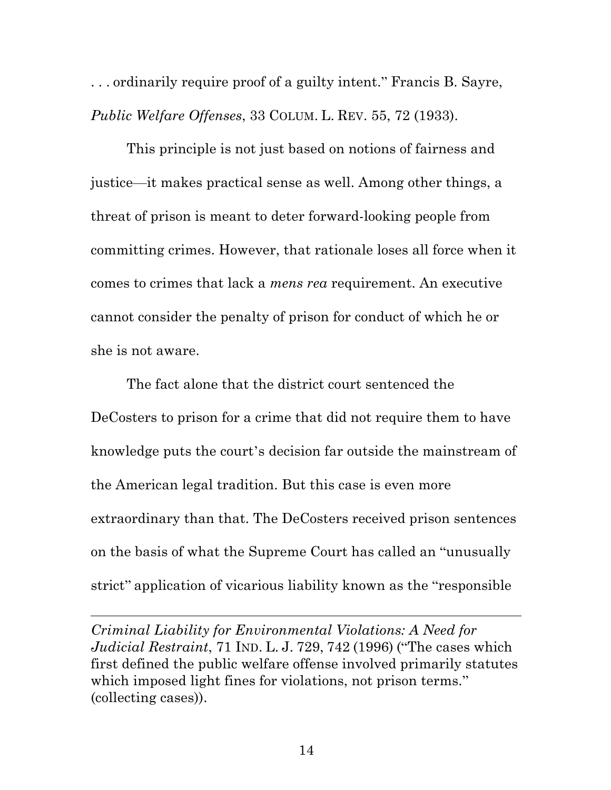. . . ordinarily require proof of a guilty intent." Francis B. Sayre, *Public Welfare Offenses*, 33 COLUM. L. REV. 55, 72 (1933).

This principle is not just based on notions of fairness and justice—it makes practical sense as well. Among other things, a threat of prison is meant to deter forward-looking people from committing crimes. However, that rationale loses all force when it comes to crimes that lack a *mens rea* requirement. An executive cannot consider the penalty of prison for conduct of which he or she is not aware.

The fact alone that the district court sentenced the DeCosters to prison for a crime that did not require them to have knowledge puts the court's decision far outside the mainstream of the American legal tradition. But this case is even more extraordinary than that. The DeCosters received prison sentences on the basis of what the Supreme Court has called an "unusually strict" application of vicarious liability known as the "responsible

*Criminal Liability for Environmental Violations: A Need for Judicial Restraint*, 71 IND. L. J. 729, 742 (1996) ("The cases which first defined the public welfare offense involved primarily statutes which imposed light fines for violations, not prison terms." (collecting cases)).

 $\overline{a}$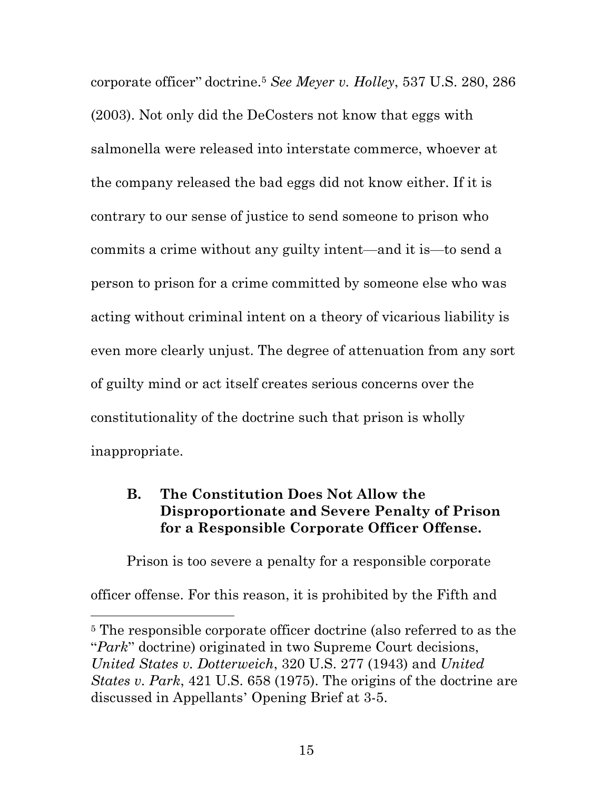corporate officer" doctrine.5 *See Meyer v. Holley*, 537 U.S. 280, 286 (2003). Not only did the DeCosters not know that eggs with salmonella were released into interstate commerce, whoever at the company released the bad eggs did not know either. If it is contrary to our sense of justice to send someone to prison who commits a crime without any guilty intent—and it is—to send a person to prison for a crime committed by someone else who was acting without criminal intent on a theory of vicarious liability is even more clearly unjust. The degree of attenuation from any sort of guilty mind or act itself creates serious concerns over the constitutionality of the doctrine such that prison is wholly inappropriate.

### **B. The Constitution Does Not Allow the Disproportionate and Severe Penalty of Prison for a Responsible Corporate Officer Offense.**

Prison is too severe a penalty for a responsible corporate officer offense. For this reason, it is prohibited by the Fifth and

1

<sup>5</sup> The responsible corporate officer doctrine (also referred to as the "*Park*" doctrine) originated in two Supreme Court decisions, *United States v. Dotterweich*, 320 U.S. 277 (1943) and *United States v. Park*, 421 U.S. 658 (1975). The origins of the doctrine are discussed in Appellants' Opening Brief at 3-5.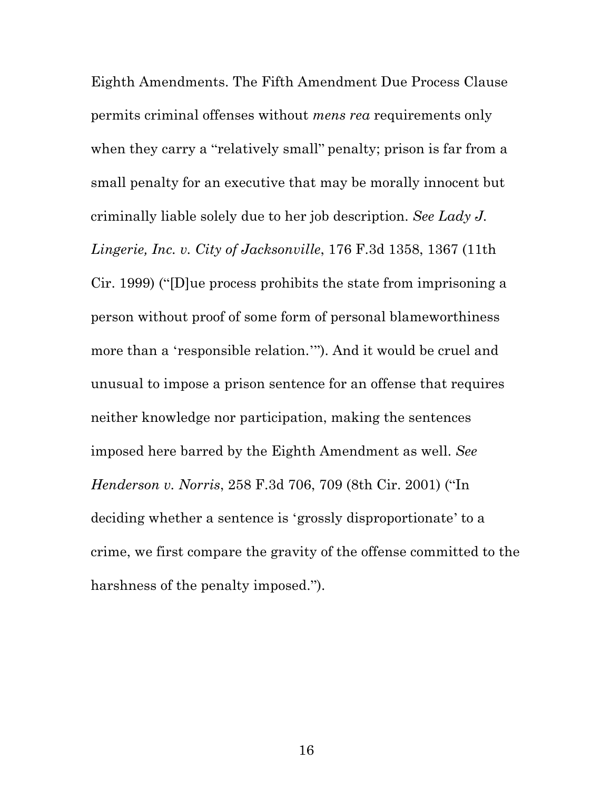Eighth Amendments. The Fifth Amendment Due Process Clause permits criminal offenses without *mens rea* requirements only when they carry a "relatively small" penalty; prison is far from a small penalty for an executive that may be morally innocent but criminally liable solely due to her job description. *See Lady J. Lingerie, Inc. v. City of Jacksonville*, 176 F.3d 1358, 1367 (11th Cir. 1999) ("[D]ue process prohibits the state from imprisoning a person without proof of some form of personal blameworthiness more than a 'responsible relation.'"). And it would be cruel and unusual to impose a prison sentence for an offense that requires neither knowledge nor participation, making the sentences imposed here barred by the Eighth Amendment as well. *See Henderson v. Norris*, 258 F.3d 706, 709 (8th Cir. 2001) ("In deciding whether a sentence is 'grossly disproportionate' to a crime, we first compare the gravity of the offense committed to the harshness of the penalty imposed.").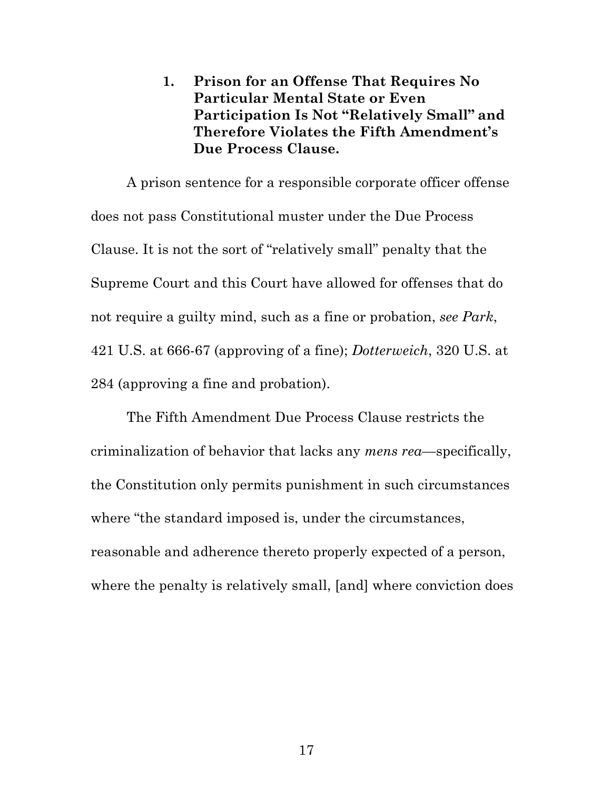**1. Prison for an Offense That Requires No Particular Mental State or Even Participation Is Not "Relatively Small" and Therefore Violates the Fifth Amendment's Due Process Clause.**

A prison sentence for a responsible corporate officer offense does not pass Constitutional muster under the Due Process Clause. It is not the sort of "relatively small" penalty that the Supreme Court and this Court have allowed for offenses that do not require a guilty mind, such as a fine or probation, *see Park*, 421 U.S. at 666-67 (approving of a fine); *Dotterweich*, 320 U.S. at 284 (approving a fine and probation).

The Fifth Amendment Due Process Clause restricts the criminalization of behavior that lacks any *mens rea*—specifically, the Constitution only permits punishment in such circumstances where "the standard imposed is, under the circumstances, reasonable and adherence thereto properly expected of a person, where the penalty is relatively small, [and] where conviction does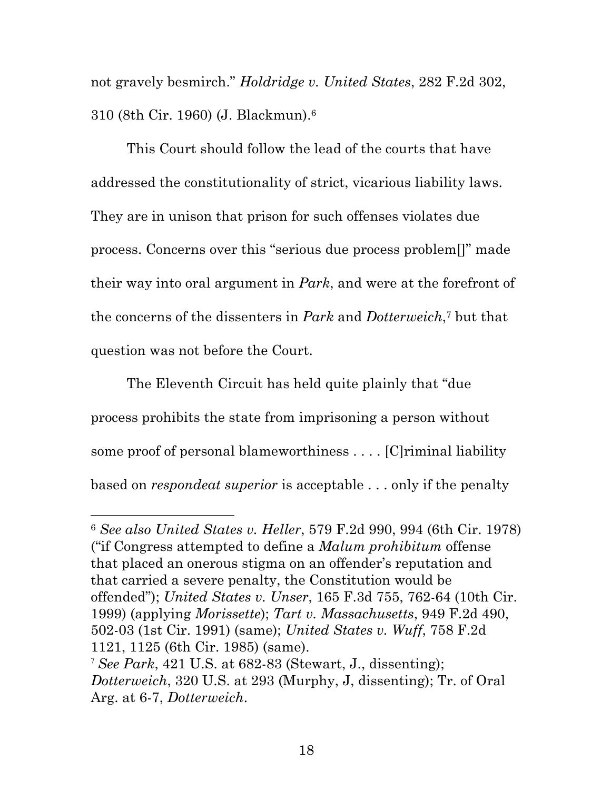not gravely besmirch." *Holdridge v. United States*, 282 F.2d 302, 310 (8th Cir. 1960) (J. Blackmun).6

This Court should follow the lead of the courts that have addressed the constitutionality of strict, vicarious liability laws. They are in unison that prison for such offenses violates due process. Concerns over this "serious due process problem[]" made their way into oral argument in *Park*, and were at the forefront of the concerns of the dissenters in *Park* and *Dotterweich*,7 but that question was not before the Court.

The Eleventh Circuit has held quite plainly that "due process prohibits the state from imprisoning a person without some proof of personal blameworthiness . . . . [C]riminal liability based on *respondeat superior* is acceptable . . . only if the penalty

<u>.</u>

<sup>6</sup> *See also United States v. Heller*, 579 F.2d 990, 994 (6th Cir. 1978) ("if Congress attempted to define a *Malum prohibitum* offense that placed an onerous stigma on an offender's reputation and that carried a severe penalty, the Constitution would be offended"); *United States v. Unser*, 165 F.3d 755, 762-64 (10th Cir. 1999) (applying *Morissette*); *Tart v. Massachusetts*, 949 F.2d 490, 502-03 (1st Cir. 1991) (same); *United States v. Wuff*, 758 F.2d 1121, 1125 (6th Cir. 1985) (same).

<sup>7</sup> *See Park*, 421 U.S. at 682-83 (Stewart, J., dissenting); *Dotterweich*, 320 U.S. at 293 (Murphy, J, dissenting); Tr. of Oral Arg. at 6-7, *Dotterweich*.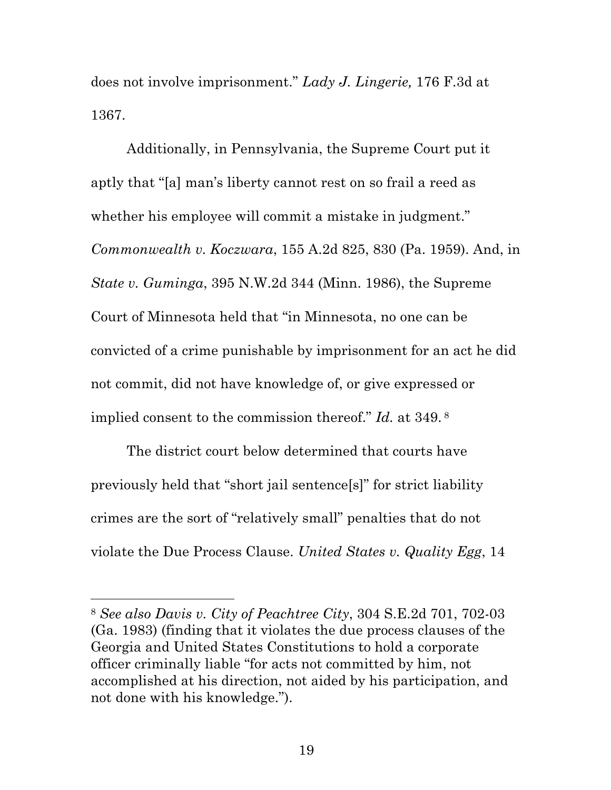does not involve imprisonment." *Lady J. Lingerie,* 176 F.3d at 1367.

Additionally, in Pennsylvania, the Supreme Court put it aptly that "[a] man's liberty cannot rest on so frail a reed as whether his employee will commit a mistake in judgment." *Commonwealth v. Koczwara*, 155 A.2d 825, 830 (Pa. 1959). And, in *State v. Guminga*, 395 N.W.2d 344 (Minn. 1986), the Supreme Court of Minnesota held that "in Minnesota, no one can be convicted of a crime punishable by imprisonment for an act he did not commit, did not have knowledge of, or give expressed or implied consent to the commission thereof." *Id.* at 349. <sup>8</sup>

The district court below determined that courts have previously held that "short jail sentence[s]" for strict liability crimes are the sort of "relatively small" penalties that do not violate the Due Process Clause. *United States v. Quality Egg*, 14

<u>.</u>

<sup>8</sup> *See also Davis v. City of Peachtree City*, 304 S.E.2d 701, 702-03 (Ga. 1983) (finding that it violates the due process clauses of the Georgia and United States Constitutions to hold a corporate officer criminally liable "for acts not committed by him, not accomplished at his direction, not aided by his participation, and not done with his knowledge.").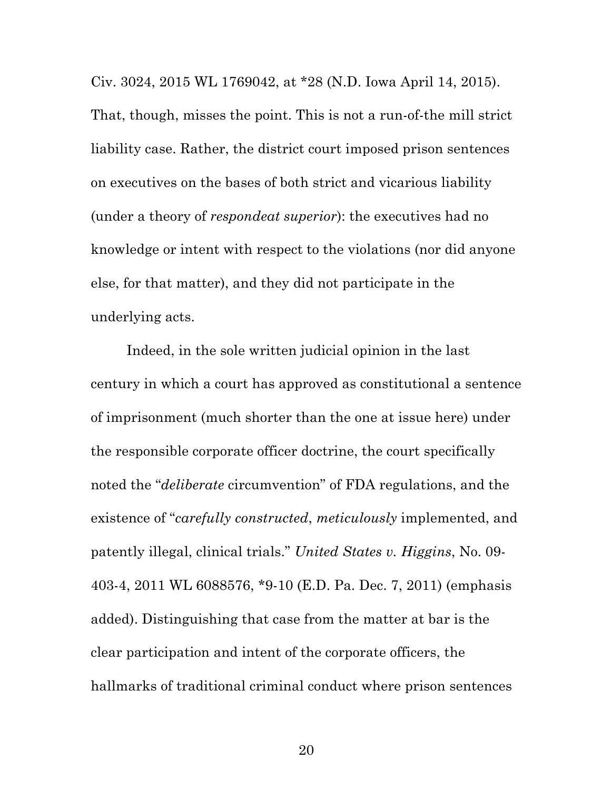Civ. 3024, 2015 WL 1769042, at \*28 (N.D. Iowa April 14, 2015). That, though, misses the point. This is not a run-of-the mill strict liability case. Rather, the district court imposed prison sentences on executives on the bases of both strict and vicarious liability (under a theory of *respondeat superior*): the executives had no knowledge or intent with respect to the violations (nor did anyone else, for that matter), and they did not participate in the underlying acts.

Indeed, in the sole written judicial opinion in the last century in which a court has approved as constitutional a sentence of imprisonment (much shorter than the one at issue here) under the responsible corporate officer doctrine, the court specifically noted the "*deliberate* circumvention" of FDA regulations, and the existence of "*carefully constructed*, *meticulously* implemented, and patently illegal, clinical trials." *United States v. Higgins*, No. 09- 403-4, 2011 WL 6088576, \*9-10 (E.D. Pa. Dec. 7, 2011) (emphasis added). Distinguishing that case from the matter at bar is the clear participation and intent of the corporate officers, the hallmarks of traditional criminal conduct where prison sentences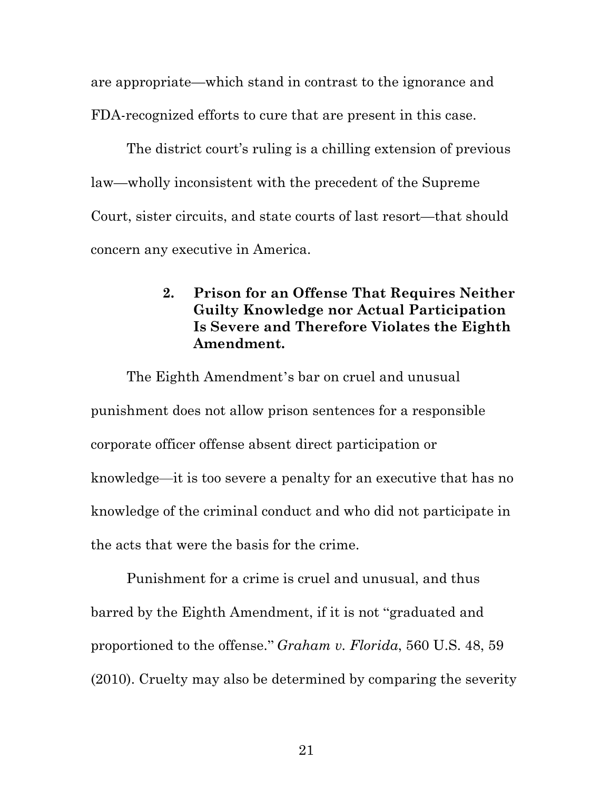are appropriate—which stand in contrast to the ignorance and FDA-recognized efforts to cure that are present in this case.

The district court's ruling is a chilling extension of previous law—wholly inconsistent with the precedent of the Supreme Court, sister circuits, and state courts of last resort—that should concern any executive in America.

# **2. Prison for an Offense That Requires Neither Guilty Knowledge nor Actual Participation Is Severe and Therefore Violates the Eighth Amendment.**

The Eighth Amendment's bar on cruel and unusual punishment does not allow prison sentences for a responsible corporate officer offense absent direct participation or knowledge—it is too severe a penalty for an executive that has no knowledge of the criminal conduct and who did not participate in the acts that were the basis for the crime.

Punishment for a crime is cruel and unusual, and thus barred by the Eighth Amendment, if it is not "graduated and proportioned to the offense." *Graham v. Florida*, 560 U.S. 48, 59 (2010). Cruelty may also be determined by comparing the severity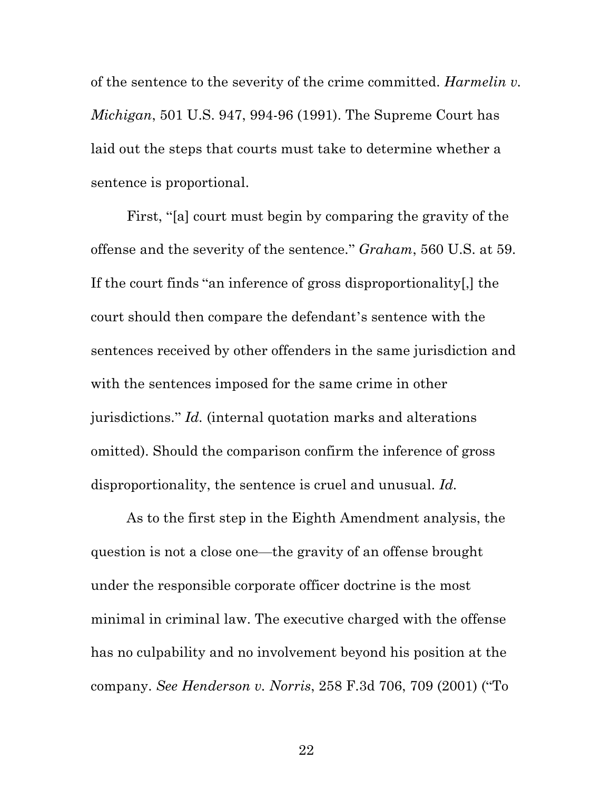of the sentence to the severity of the crime committed. *Harmelin v. Michigan*, 501 U.S. 947, 994-96 (1991). The Supreme Court has laid out the steps that courts must take to determine whether a sentence is proportional.

First, "[a] court must begin by comparing the gravity of the offense and the severity of the sentence." *Graham*, 560 U.S. at 59. If the court finds "an inference of gross disproportionality[,] the court should then compare the defendant's sentence with the sentences received by other offenders in the same jurisdiction and with the sentences imposed for the same crime in other jurisdictions." *Id.* (internal quotation marks and alterations omitted). Should the comparison confirm the inference of gross disproportionality, the sentence is cruel and unusual. *Id.*

As to the first step in the Eighth Amendment analysis, the question is not a close one—the gravity of an offense brought under the responsible corporate officer doctrine is the most minimal in criminal law. The executive charged with the offense has no culpability and no involvement beyond his position at the company. *See Henderson v. Norris*, 258 F.3d 706, 709 (2001) ("To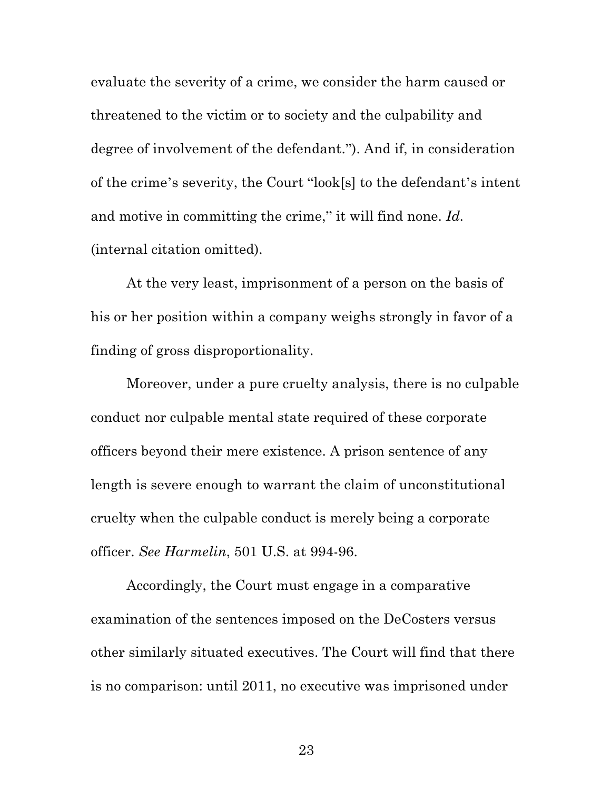evaluate the severity of a crime, we consider the harm caused or threatened to the victim or to society and the culpability and degree of involvement of the defendant."). And if, in consideration of the crime's severity, the Court "look[s] to the defendant's intent and motive in committing the crime," it will find none. *Id.* (internal citation omitted).

At the very least, imprisonment of a person on the basis of his or her position within a company weighs strongly in favor of a finding of gross disproportionality.

Moreover, under a pure cruelty analysis, there is no culpable conduct nor culpable mental state required of these corporate officers beyond their mere existence. A prison sentence of any length is severe enough to warrant the claim of unconstitutional cruelty when the culpable conduct is merely being a corporate officer. *See Harmelin*, 501 U.S. at 994-96.

Accordingly, the Court must engage in a comparative examination of the sentences imposed on the DeCosters versus other similarly situated executives. The Court will find that there is no comparison: until 2011, no executive was imprisoned under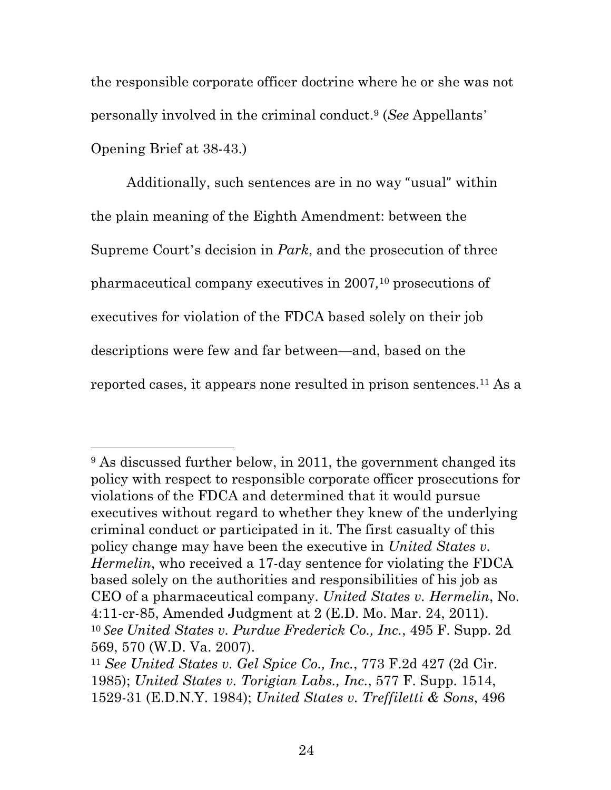the responsible corporate officer doctrine where he or she was not personally involved in the criminal conduct.9 (*See* Appellants' Opening Brief at 38-43.)

Additionally, such sentences are in no way "usual" within the plain meaning of the Eighth Amendment: between the Supreme Court's decision in *Park*, and the prosecution of three pharmaceutical company executives in 2007*,*<sup>10</sup> prosecutions of executives for violation of the FDCA based solely on their job descriptions were few and far between—and, based on the reported cases, it appears none resulted in prison sentences.11 As a

<u>.</u>

<sup>&</sup>lt;sup>9</sup> As discussed further below, in 2011, the government changed its policy with respect to responsible corporate officer prosecutions for violations of the FDCA and determined that it would pursue executives without regard to whether they knew of the underlying criminal conduct or participated in it. The first casualty of this policy change may have been the executive in *United States v. Hermelin*, who received a 17-day sentence for violating the FDCA based solely on the authorities and responsibilities of his job as CEO of a pharmaceutical company. *United States v. Hermelin*, No. 4:11-cr-85, Amended Judgment at 2 (E.D. Mo. Mar. 24, 2011). <sup>10</sup> *See United States v. Purdue Frederick Co., Inc.*, 495 F. Supp. 2d 569, 570 (W.D. Va. 2007).

<sup>11</sup> *See United States v. Gel Spice Co., Inc.*, 773 F.2d 427 (2d Cir. 1985); *United States v. Torigian Labs., Inc.*, 577 F. Supp. 1514, 1529-31 (E.D.N.Y. 1984); *United States v. Treffiletti & Sons*, 496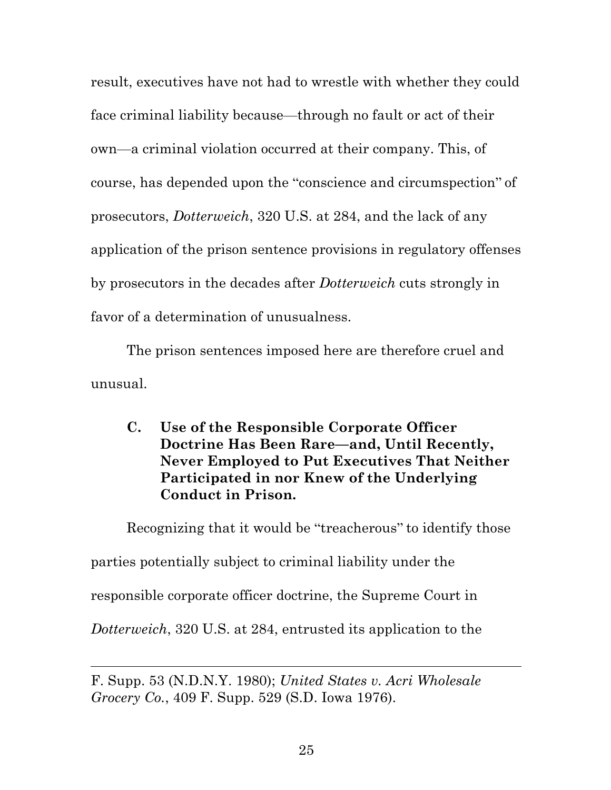result, executives have not had to wrestle with whether they could face criminal liability because—through no fault or act of their own—a criminal violation occurred at their company. This, of course, has depended upon the "conscience and circumspection" of prosecutors, *Dotterweich*, 320 U.S. at 284, and the lack of any application of the prison sentence provisions in regulatory offenses by prosecutors in the decades after *Dotterweich* cuts strongly in favor of a determination of unusualness.

The prison sentences imposed here are therefore cruel and unusual.

**C. Use of the Responsible Corporate Officer Doctrine Has Been Rare—and, Until Recently, Never Employed to Put Executives That Neither Participated in nor Knew of the Underlying Conduct in Prison.**

Recognizing that it would be "treacherous" to identify those parties potentially subject to criminal liability under the responsible corporate officer doctrine, the Supreme Court in *Dotterweich*, 320 U.S. at 284, entrusted its application to the

 $\overline{a}$ 

F. Supp. 53 (N.D.N.Y. 1980); *United States v. Acri Wholesale Grocery Co.*, 409 F. Supp. 529 (S.D. Iowa 1976).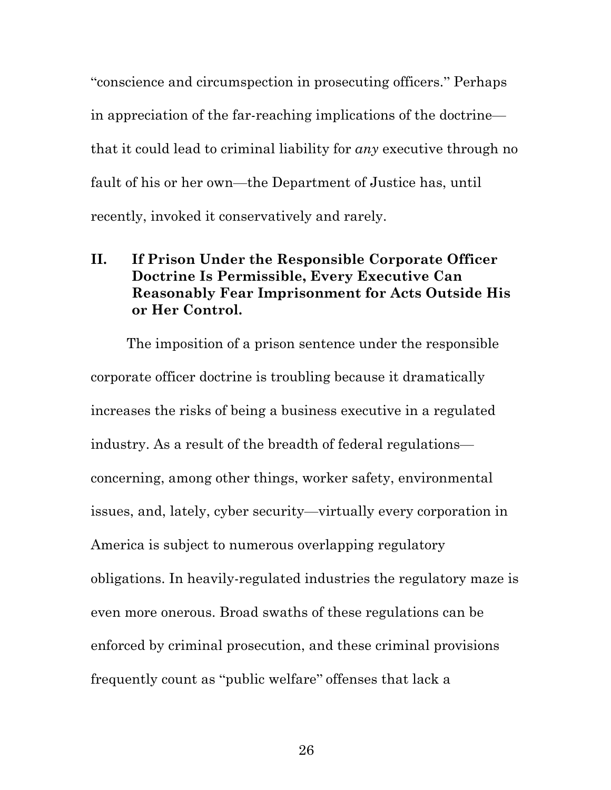"conscience and circumspection in prosecuting officers." Perhaps in appreciation of the far-reaching implications of the doctrine that it could lead to criminal liability for *any* executive through no fault of his or her own—the Department of Justice has, until recently, invoked it conservatively and rarely.

# **II. If Prison Under the Responsible Corporate Officer Doctrine Is Permissible, Every Executive Can Reasonably Fear Imprisonment for Acts Outside His or Her Control.**

The imposition of a prison sentence under the responsible corporate officer doctrine is troubling because it dramatically increases the risks of being a business executive in a regulated industry. As a result of the breadth of federal regulations concerning, among other things, worker safety, environmental issues, and, lately, cyber security—virtually every corporation in America is subject to numerous overlapping regulatory obligations. In heavily-regulated industries the regulatory maze is even more onerous. Broad swaths of these regulations can be enforced by criminal prosecution, and these criminal provisions frequently count as "public welfare" offenses that lack a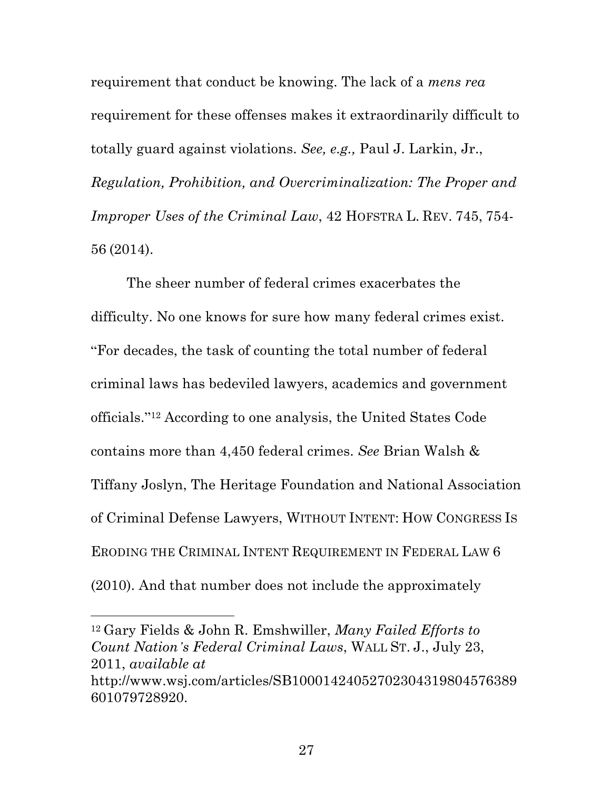requirement that conduct be knowing. The lack of a *mens rea* requirement for these offenses makes it extraordinarily difficult to totally guard against violations. *See, e.g.,* Paul J. Larkin, Jr., *Regulation, Prohibition, and Overcriminalization: The Proper and Improper Uses of the Criminal Law*, 42 HOFSTRA L. REV. 745, 754- 56 (2014).

The sheer number of federal crimes exacerbates the difficulty. No one knows for sure how many federal crimes exist. "For decades, the task of counting the total number of federal criminal laws has bedeviled lawyers, academics and government officials."<sup>12</sup> According to one analysis, the United States Code contains more than 4,450 federal crimes. *See* Brian Walsh & Tiffany Joslyn, The Heritage Foundation and National Association of Criminal Defense Lawyers, WITHOUT INTENT: HOW CONGRESS IS ERODING THE CRIMINAL INTENT REQUIREMENT IN FEDERAL LAW 6 (2010). And that number does not include the approximately

<sup>12</sup> Gary Fields & John R. Emshwiller, *Many Failed Efforts to Count Nation's Federal Criminal Laws*, WALL ST. J., July 23, 2011, *available at* http://www.wsj.com/articles/SB10001424052702304319804576389 601079728920.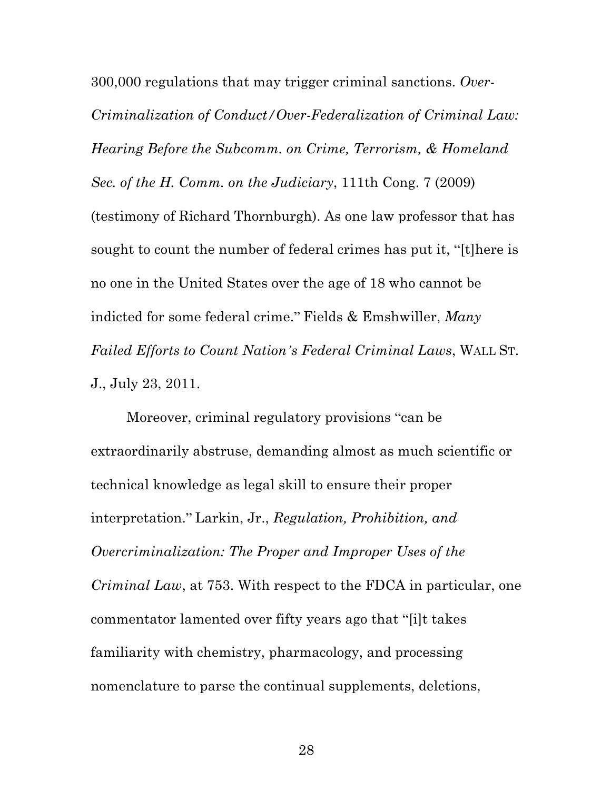300,000 regulations that may trigger criminal sanctions. *Over-Criminalization of Conduct/Over-Federalization of Criminal Law: Hearing Before the Subcomm. on Crime, Terrorism, & Homeland Sec. of the H. Comm. on the Judiciary*, 111th Cong. 7 (2009) (testimony of Richard Thornburgh). As one law professor that has sought to count the number of federal crimes has put it, "[t]here is no one in the United States over the age of 18 who cannot be indicted for some federal crime." Fields & Emshwiller, *Many Failed Efforts to Count Nation's Federal Criminal Laws*, WALL ST. J., July 23, 2011.

Moreover, criminal regulatory provisions "can be extraordinarily abstruse, demanding almost as much scientific or technical knowledge as legal skill to ensure their proper interpretation." Larkin, Jr., *Regulation, Prohibition, and Overcriminalization: The Proper and Improper Uses of the Criminal Law*, at 753. With respect to the FDCA in particular, one commentator lamented over fifty years ago that "[i]t takes familiarity with chemistry, pharmacology, and processing nomenclature to parse the continual supplements, deletions,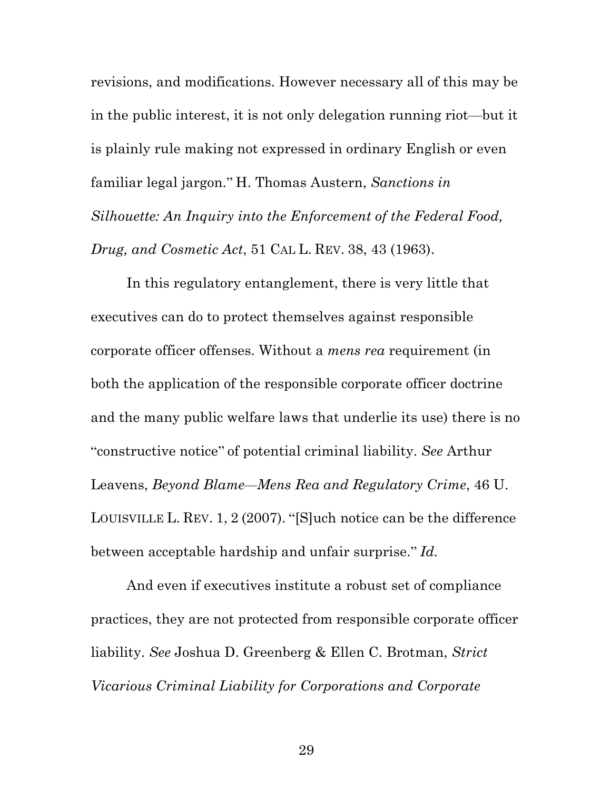revisions, and modifications. However necessary all of this may be in the public interest, it is not only delegation running riot—but it is plainly rule making not expressed in ordinary English or even familiar legal jargon." H. Thomas Austern, *Sanctions in Silhouette: An Inquiry into the Enforcement of the Federal Food, Drug, and Cosmetic Act*, 51 CAL L. REV. 38, 43 (1963).

In this regulatory entanglement, there is very little that executives can do to protect themselves against responsible corporate officer offenses. Without a *mens rea* requirement (in both the application of the responsible corporate officer doctrine and the many public welfare laws that underlie its use) there is no "constructive notice" of potential criminal liability. *See* Arthur Leavens, *Beyond Blame—Mens Rea and Regulatory Crime*, 46 U. LOUISVILLE L. REV. 1, 2 (2007). "[S]uch notice can be the difference between acceptable hardship and unfair surprise." *Id.*

And even if executives institute a robust set of compliance practices, they are not protected from responsible corporate officer liability. *See* Joshua D. Greenberg & Ellen C. Brotman, *Strict Vicarious Criminal Liability for Corporations and Corporate*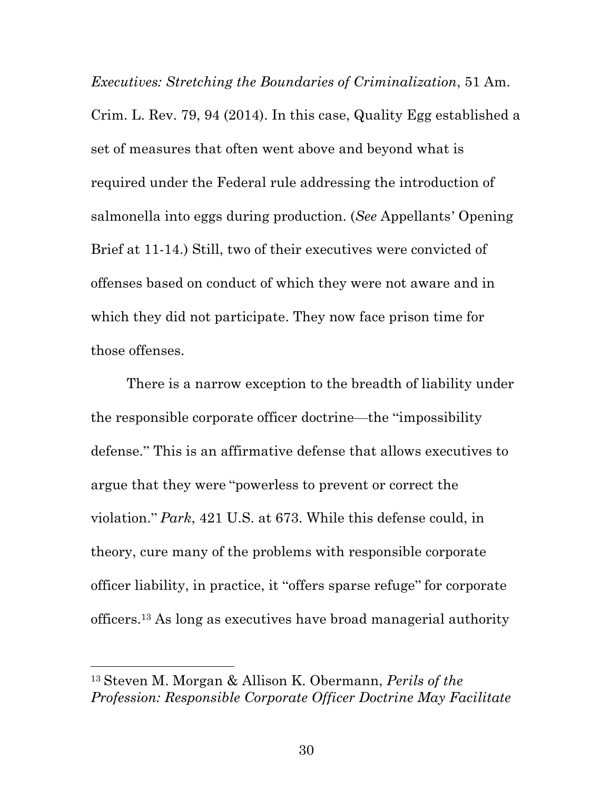*Executives: Stretching the Boundaries of Criminalization*, 51 Am. Crim. L. Rev. 79, 94 (2014). In this case, Quality Egg established a set of measures that often went above and beyond what is required under the Federal rule addressing the introduction of salmonella into eggs during production. (*See* Appellants' Opening Brief at 11-14.) Still, two of their executives were convicted of offenses based on conduct of which they were not aware and in which they did not participate. They now face prison time for those offenses.

There is a narrow exception to the breadth of liability under the responsible corporate officer doctrine—the "impossibility defense." This is an affirmative defense that allows executives to argue that they were "powerless to prevent or correct the violation." *Park*, 421 U.S. at 673. While this defense could, in theory, cure many of the problems with responsible corporate officer liability, in practice, it "offers sparse refuge" for corporate officers.13 As long as executives have broad managerial authority

<u>.</u>

<sup>13</sup> Steven M. Morgan & Allison K. Obermann, *Perils of the Profession: Responsible Corporate Officer Doctrine May Facilitate*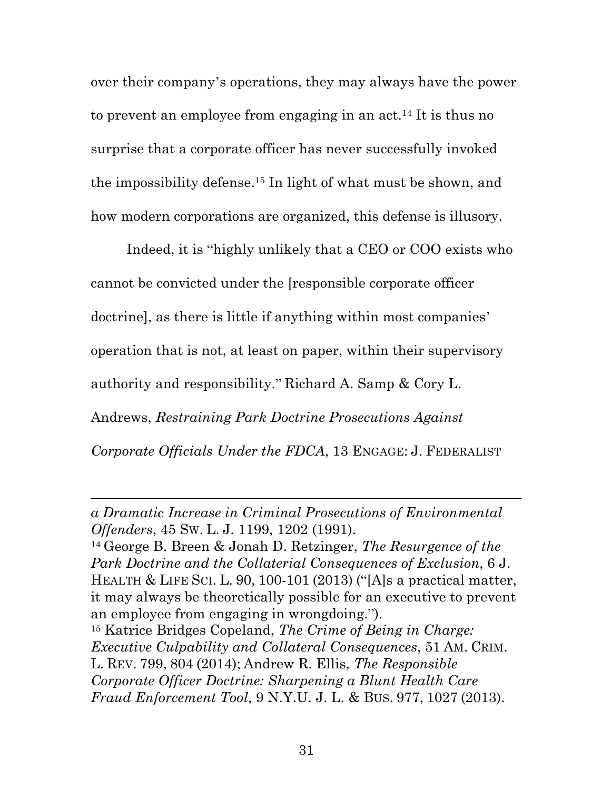over their company's operations, they may always have the power to prevent an employee from engaging in an act.14 It is thus no surprise that a corporate officer has never successfully invoked the impossibility defense.15 In light of what must be shown, and how modern corporations are organized, this defense is illusory.

Indeed, it is "highly unlikely that a CEO or COO exists who cannot be convicted under the [responsible corporate officer doctrine], as there is little if anything within most companies' operation that is not, at least on paper, within their supervisory authority and responsibility." Richard A. Samp & Cory L. Andrews, *Restraining Park Doctrine Prosecutions Against*

 $\overline{a}$ 

*Corporate Officials Under the FDCA*, 13 ENGAGE: J. FEDERALIST

<sup>14</sup> George B. Breen & Jonah D. Retzinger, *The Resurgence of the Park Doctrine and the Collaterial Consequences of Exclusion*, 6 J. HEALTH & LIFE SCI. L. 90, 100-101 (2013) ("[A]s a practical matter, it may always be theoretically possible for an executive to prevent an employee from engaging in wrongdoing.").

*a Dramatic Increase in Criminal Prosecutions of Environmental Offenders*, 45 SW. L. J. 1199, 1202 (1991).

<sup>15</sup> Katrice Bridges Copeland, *The Crime of Being in Charge: Executive Culpability and Collateral Consequences*, 51 AM. CRIM. L. REV. 799, 804 (2014); Andrew R. Ellis, *The Responsible Corporate Officer Doctrine: Sharpening a Blunt Health Care Fraud Enforcement Tool*, 9 N.Y.U. J. L. & BUS. 977, 1027 (2013).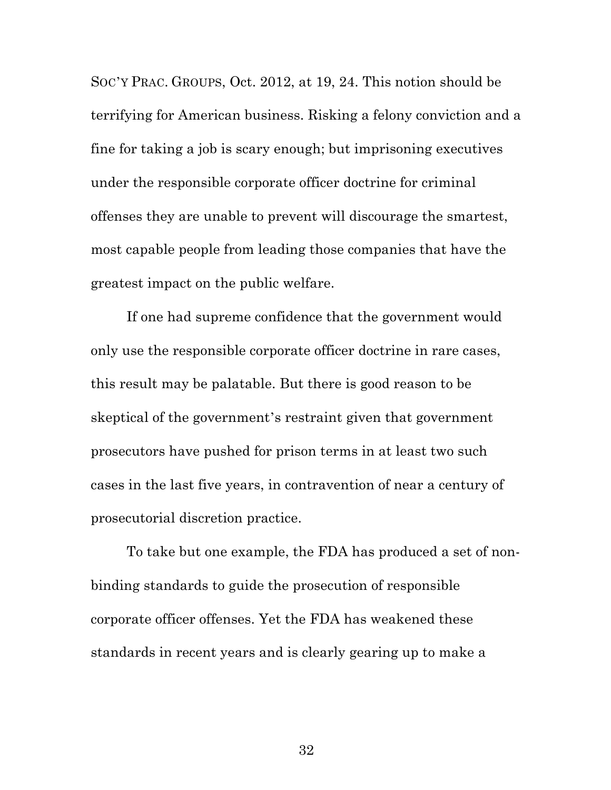SOC'Y PRAC. GROUPS, Oct. 2012, at 19, 24. This notion should be terrifying for American business. Risking a felony conviction and a fine for taking a job is scary enough; but imprisoning executives under the responsible corporate officer doctrine for criminal offenses they are unable to prevent will discourage the smartest, most capable people from leading those companies that have the greatest impact on the public welfare.

If one had supreme confidence that the government would only use the responsible corporate officer doctrine in rare cases, this result may be palatable. But there is good reason to be skeptical of the government's restraint given that government prosecutors have pushed for prison terms in at least two such cases in the last five years, in contravention of near a century of prosecutorial discretion practice.

To take but one example, the FDA has produced a set of nonbinding standards to guide the prosecution of responsible corporate officer offenses. Yet the FDA has weakened these standards in recent years and is clearly gearing up to make a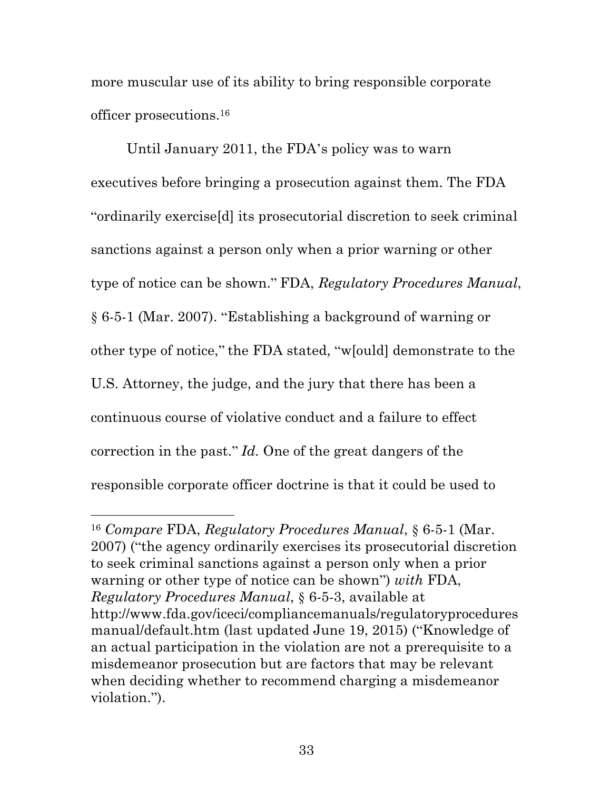more muscular use of its ability to bring responsible corporate officer prosecutions.16

Until January 2011, the FDA's policy was to warn executives before bringing a prosecution against them. The FDA "ordinarily exercise[d] its prosecutorial discretion to seek criminal sanctions against a person only when a prior warning or other type of notice can be shown." FDA, *Regulatory Procedures Manual*, § 6-5-1 (Mar. 2007). "Establishing a background of warning or other type of notice," the FDA stated, "w[ould] demonstrate to the U.S. Attorney, the judge, and the jury that there has been a continuous course of violative conduct and a failure to effect correction in the past." *Id.* One of the great dangers of the responsible corporate officer doctrine is that it could be used to

<u>.</u>

<sup>16</sup> *Compare* FDA, *Regulatory Procedures Manual*, § 6-5-1 (Mar. 2007) ("the agency ordinarily exercises its prosecutorial discretion to seek criminal sanctions against a person only when a prior warning or other type of notice can be shown") *with* FDA, *Regulatory Procedures Manual*, § 6-5-3, available at http://www.fda.gov/iceci/compliancemanuals/regulatoryprocedures manual/default.htm (last updated June 19, 2015) ("Knowledge of an actual participation in the violation are not a prerequisite to a misdemeanor prosecution but are factors that may be relevant when deciding whether to recommend charging a misdemeanor violation.").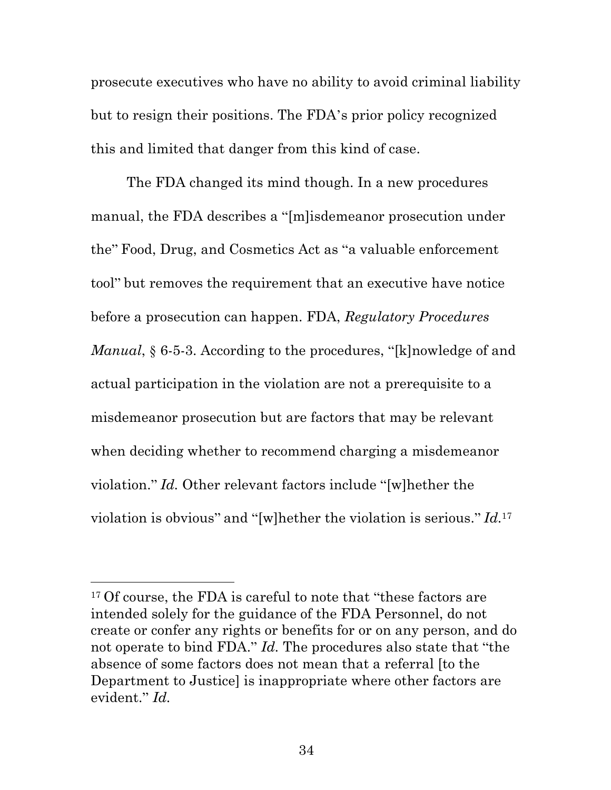prosecute executives who have no ability to avoid criminal liability but to resign their positions. The FDA's prior policy recognized this and limited that danger from this kind of case.

The FDA changed its mind though. In a new procedures manual, the FDA describes a "[m]isdemeanor prosecution under the" Food, Drug, and Cosmetics Act as "a valuable enforcement tool" but removes the requirement that an executive have notice before a prosecution can happen. FDA, *Regulatory Procedures Manual*, § 6-5-3. According to the procedures, "[k]nowledge of and actual participation in the violation are not a prerequisite to a misdemeanor prosecution but are factors that may be relevant when deciding whether to recommend charging a misdemeanor violation." *Id.* Other relevant factors include "[w]hether the violation is obvious" and "[w]hether the violation is serious." *Id.*<sup>17</sup>

<u>.</u>

<sup>&</sup>lt;sup>17</sup> Of course, the FDA is careful to note that "these factors are intended solely for the guidance of the FDA Personnel, do not create or confer any rights or benefits for or on any person, and do not operate to bind FDA." *Id.* The procedures also state that "the absence of some factors does not mean that a referral [to the Department to Justice] is inappropriate where other factors are evident." *Id.*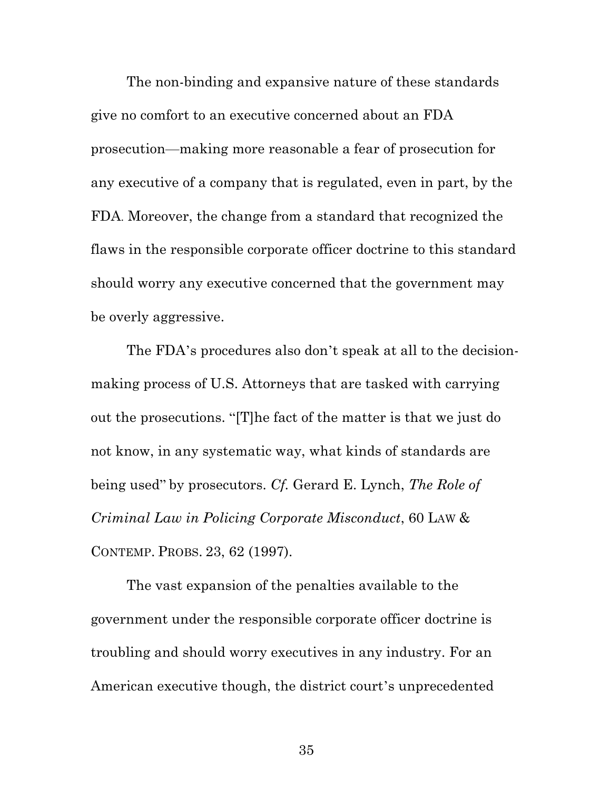The non-binding and expansive nature of these standards give no comfort to an executive concerned about an FDA prosecution—making more reasonable a fear of prosecution for any executive of a company that is regulated, even in part, by the FDA. Moreover, the change from a standard that recognized the flaws in the responsible corporate officer doctrine to this standard should worry any executive concerned that the government may be overly aggressive.

The FDA's procedures also don't speak at all to the decisionmaking process of U.S. Attorneys that are tasked with carrying out the prosecutions. "[T]he fact of the matter is that we just do not know, in any systematic way, what kinds of standards are being used" by prosecutors. *Cf.* Gerard E. Lynch, *The Role of Criminal Law in Policing Corporate Misconduct*, 60 LAW & CONTEMP. PROBS. 23, 62 (1997).

The vast expansion of the penalties available to the government under the responsible corporate officer doctrine is troubling and should worry executives in any industry. For an American executive though, the district court's unprecedented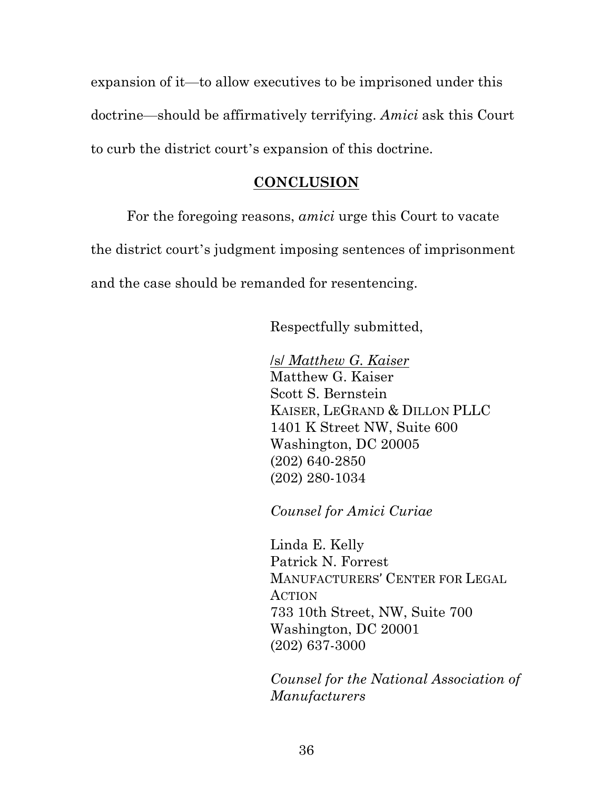expansion of it—to allow executives to be imprisoned under this doctrine—should be affirmatively terrifying. *Amici* ask this Court to curb the district court's expansion of this doctrine.

#### **CONCLUSION**

For the foregoing reasons, *amici* urge this Court to vacate the district court's judgment imposing sentences of imprisonment and the case should be remanded for resentencing.

Respectfully submitted,

/s/ *Matthew G. Kaiser* Matthew G. Kaiser Scott S. Bernstein KAISER, LEGRAND & DILLON PLLC 1401 K Street NW, Suite 600 Washington, DC 20005 (202) 640-2850 (202) 280-1034

*Counsel for Amici Curiae*

Linda E. Kelly Patrick N. Forrest MANUFACTURERS' CENTER FOR LEGAL ACTION 733 10th Street, NW, Suite 700 Washington, DC 20001 (202) 637-3000

*Counsel for the National Association of Manufacturers*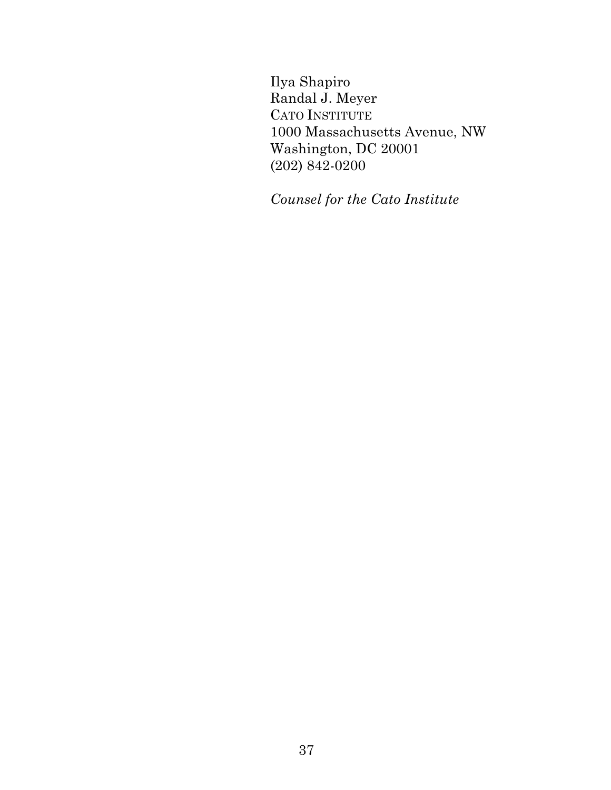Ilya Shapiro Randal J. Meyer CATO INSTITUTE 1000 Massachusetts Avenue, NW Washington, DC 20001 (202) 842-0200

*Counsel for the Cato Institute*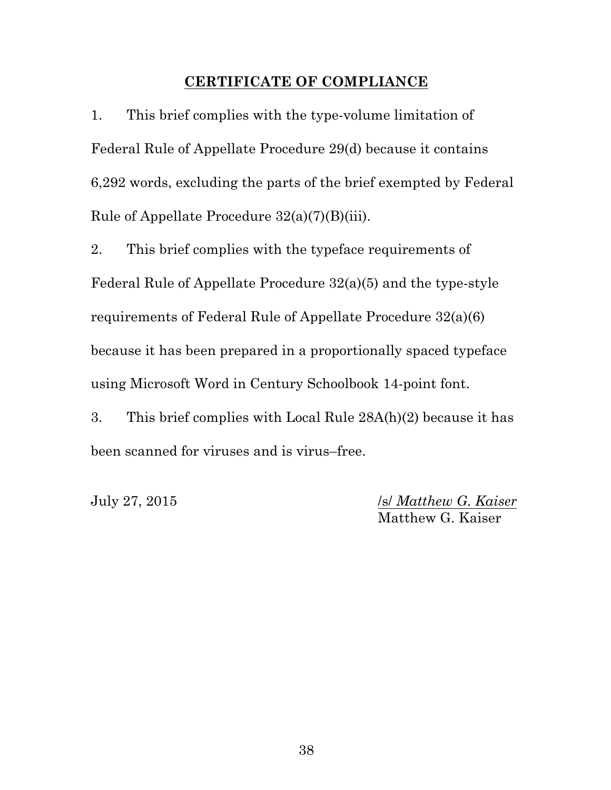#### **CERTIFICATE OF COMPLIANCE**

1. This brief complies with the type-volume limitation of Federal Rule of Appellate Procedure 29(d) because it contains 6,292 words, excluding the parts of the brief exempted by Federal Rule of Appellate Procedure 32(a)(7)(B)(iii).

2. This brief complies with the typeface requirements of Federal Rule of Appellate Procedure 32(a)(5) and the type-style requirements of Federal Rule of Appellate Procedure 32(a)(6) because it has been prepared in a proportionally spaced typeface using Microsoft Word in Century Schoolbook 14-point font.

3. This brief complies with Local Rule 28A(h)(2) because it has been scanned for viruses and is virus–free.

July 27, 2015 /s/ *Matthew G. Kaiser* Matthew G. Kaiser